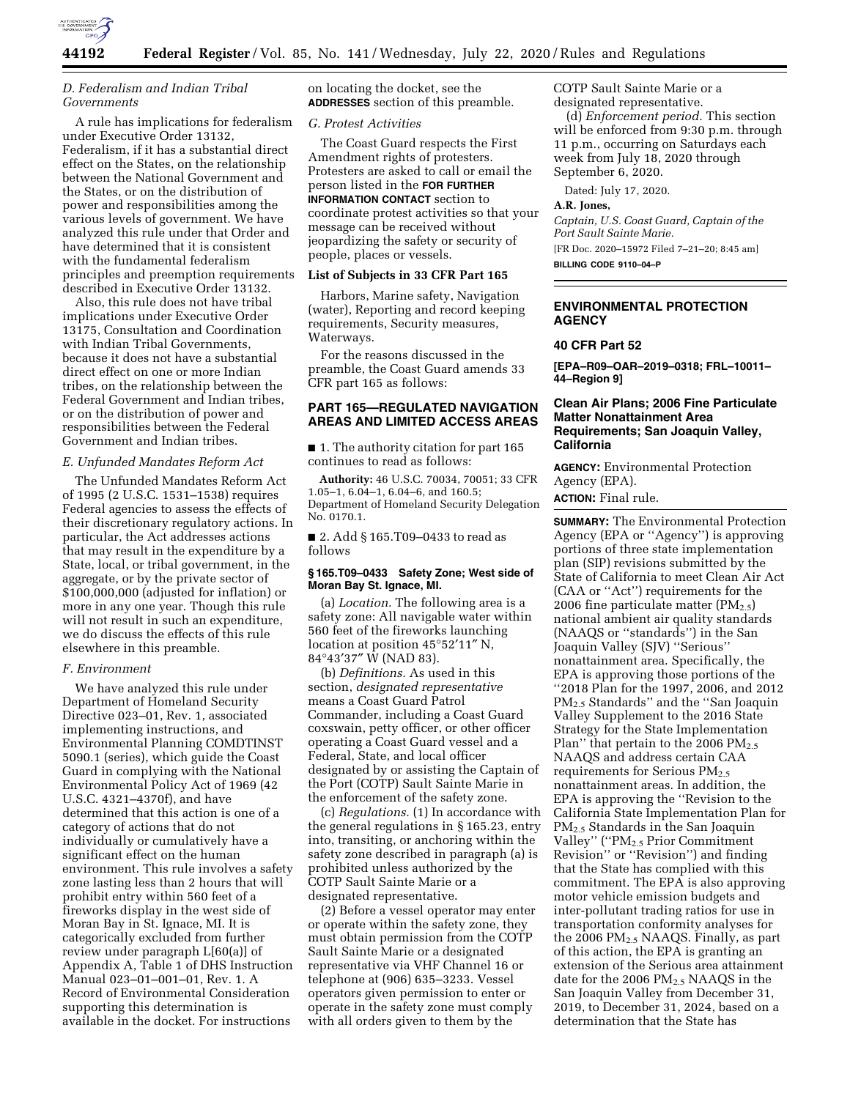

# *D. Federalism and Indian Tribal Governments*

A rule has implications for federalism under Executive Order 13132, Federalism, if it has a substantial direct effect on the States, on the relationship between the National Government and the States, or on the distribution of power and responsibilities among the various levels of government. We have analyzed this rule under that Order and have determined that it is consistent with the fundamental federalism principles and preemption requirements described in Executive Order 13132.

Also, this rule does not have tribal implications under Executive Order 13175, Consultation and Coordination with Indian Tribal Governments, because it does not have a substantial direct effect on one or more Indian tribes, on the relationship between the Federal Government and Indian tribes, or on the distribution of power and responsibilities between the Federal Government and Indian tribes.

### *E. Unfunded Mandates Reform Act*

The Unfunded Mandates Reform Act of 1995 (2 U.S.C. 1531–1538) requires Federal agencies to assess the effects of their discretionary regulatory actions. In particular, the Act addresses actions that may result in the expenditure by a State, local, or tribal government, in the aggregate, or by the private sector of \$100,000,000 (adjusted for inflation) or more in any one year. Though this rule will not result in such an expenditure, we do discuss the effects of this rule elsewhere in this preamble.

### *F. Environment*

We have analyzed this rule under Department of Homeland Security Directive 023–01, Rev. 1, associated implementing instructions, and Environmental Planning COMDTINST 5090.1 (series), which guide the Coast Guard in complying with the National Environmental Policy Act of 1969 (42 U.S.C. 4321–4370f), and have determined that this action is one of a category of actions that do not individually or cumulatively have a significant effect on the human environment. This rule involves a safety zone lasting less than 2 hours that will prohibit entry within 560 feet of a fireworks display in the west side of Moran Bay in St. Ignace, MI. It is categorically excluded from further review under paragraph L[60(a)] of Appendix A, Table 1 of DHS Instruction Manual 023–01–001–01, Rev. 1. A Record of Environmental Consideration supporting this determination is available in the docket. For instructions

on locating the docket, see the **ADDRESSES** section of this preamble.

# *G. Protest Activities*

The Coast Guard respects the First Amendment rights of protesters. Protesters are asked to call or email the person listed in the **FOR FURTHER INFORMATION CONTACT** section to coordinate protest activities so that your message can be received without jeopardizing the safety or security of people, places or vessels.

# **List of Subjects in 33 CFR Part 165**

Harbors, Marine safety, Navigation (water), Reporting and record keeping requirements, Security measures, Waterways.

For the reasons discussed in the preamble, the Coast Guard amends 33 CFR part 165 as follows:

# **PART 165—REGULATED NAVIGATION AREAS AND LIMITED ACCESS AREAS**

■ 1. The authority citation for part 165 continues to read as follows:

**Authority:** 46 U.S.C. 70034, 70051; 33 CFR 1.05–1, 6.04–1, 6.04–6, and 160.5; Department of Homeland Security Delegation No. 0170.1.

■ 2. Add § 165.T09–0433 to read as follows

### **§ 165.T09–0433 Safety Zone; West side of Moran Bay St. Ignace, MI.**

(a) *Location.* The following area is a safety zone: All navigable water within 560 feet of the fireworks launching location at position 45°52′11″ N, 84°43′37″ W (NAD 83).

(b) *Definitions.* As used in this section, *designated representative*  means a Coast Guard Patrol Commander, including a Coast Guard coxswain, petty officer, or other officer operating a Coast Guard vessel and a Federal, State, and local officer designated by or assisting the Captain of the Port (COTP) Sault Sainte Marie in the enforcement of the safety zone.

(c) *Regulations.* (1) In accordance with the general regulations in § 165.23, entry into, transiting, or anchoring within the safety zone described in paragraph (a) is prohibited unless authorized by the COTP Sault Sainte Marie or a designated representative.

(2) Before a vessel operator may enter or operate within the safety zone, they must obtain permission from the COTP Sault Sainte Marie or a designated representative via VHF Channel 16 or telephone at (906) 635–3233. Vessel operators given permission to enter or operate in the safety zone must comply with all orders given to them by the

COTP Sault Sainte Marie or a designated representative.

(d) *Enforcement period.* This section will be enforced from 9:30 p.m. through 11 p.m., occurring on Saturdays each week from July 18, 2020 through September 6, 2020.

Dated: July 17, 2020.

# **A.R. Jones,**

*Captain, U.S. Coast Guard, Captain of the Port Sault Sainte Marie.*  [FR Doc. 2020–15972 Filed 7–21–20; 8:45 am]

**BILLING CODE 9110–04–P** 

### **ENVIRONMENTAL PROTECTION AGENCY**

### **40 CFR Part 52**

**[EPA–R09–OAR–2019–0318; FRL–10011– 44–Region 9]** 

# **Clean Air Plans; 2006 Fine Particulate Matter Nonattainment Area Requirements; San Joaquin Valley, California**

**AGENCY:** Environmental Protection Agency (EPA).

**ACTION:** Final rule.

**SUMMARY:** The Environmental Protection Agency (EPA or ''Agency'') is approving portions of three state implementation plan (SIP) revisions submitted by the State of California to meet Clean Air Act (CAA or ''Act'') requirements for the 2006 fine particulate matter  $(PM_{2.5})$ national ambient air quality standards (NAAQS or ''standards'') in the San Joaquin Valley (SJV) ''Serious'' nonattainment area. Specifically, the EPA is approving those portions of the ''2018 Plan for the 1997, 2006, and 2012 PM2.5 Standards'' and the ''San Joaquin Valley Supplement to the 2016 State Strategy for the State Implementation Plan" that pertain to the 2006  $PM_{2.5}$ NAAQS and address certain CAA requirements for Serious PM2.5 nonattainment areas. In addition, the EPA is approving the ''Revision to the California State Implementation Plan for PM2.5 Standards in the San Joaquin Valley" ("PM<sub>2.5</sub> Prior Commitment Revision'' or ''Revision'') and finding that the State has complied with this commitment. The EPA is also approving motor vehicle emission budgets and inter-pollutant trading ratios for use in transportation conformity analyses for the 2006 PM<sub>2.5</sub> NAAQS. Finally, as part of this action, the EPA is granting an extension of the Serious area attainment date for the 2006 PM2.5 NAAQS in the San Joaquin Valley from December 31, 2019, to December 31, 2024, based on a determination that the State has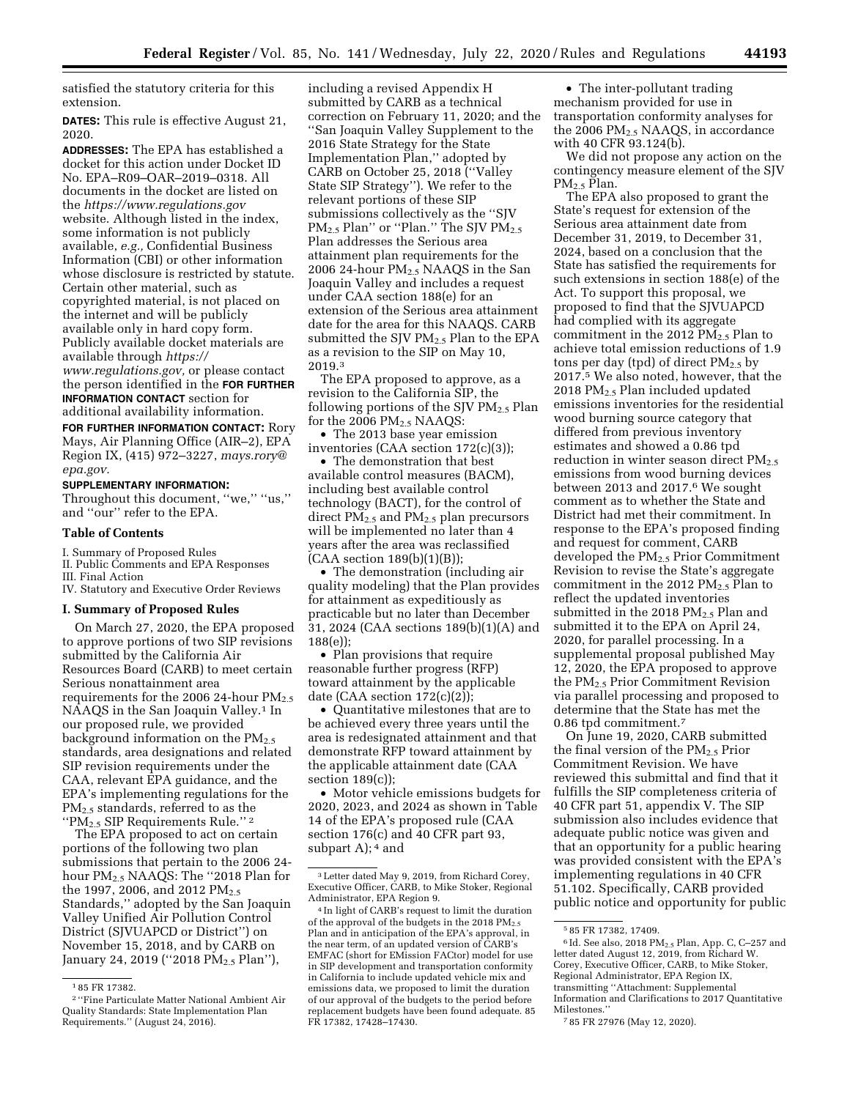satisfied the statutory criteria for this extension.

**DATES:** This rule is effective August 21, 2020.

**ADDRESSES:** The EPA has established a docket for this action under Docket ID No. EPA–R09–OAR–2019–0318. All documents in the docket are listed on the *<https://www.regulations.gov>* website. Although listed in the index, some information is not publicly available, *e.g.,* Confidential Business Information (CBI) or other information whose disclosure is restricted by statute. Certain other material, such as copyrighted material, is not placed on the internet and will be publicly available only in hard copy form. Publicly available docket materials are available through *[https://](https://www.regulations.gov)  [www.regulations.gov,](https://www.regulations.gov)* or please contact the person identified in the **FOR FURTHER**

**INFORMATION CONTACT** section for additional availability information.

**FOR FURTHER INFORMATION CONTACT:** Rory Mays, Air Planning Office (AIR–2), EPA Region IX, (415) 972–3227, *[mays.rory@](mailto:mays.rory@epa.gov) [epa.gov.](mailto:mays.rory@epa.gov)* 

# **SUPPLEMENTARY INFORMATION:**

Throughout this document, "we," "us," and ''our'' refer to the EPA.

### **Table of Contents**

I. Summary of Proposed Rules

II. Public Comments and EPA Responses

III. Final Action

IV. Statutory and Executive Order Reviews

### **I. Summary of Proposed Rules**

On March 27, 2020, the EPA proposed to approve portions of two SIP revisions submitted by the California Air Resources Board (CARB) to meet certain Serious nonattainment area requirements for the 2006 24-hour  $PM_{2.5}$ NAAQS in the San Joaquin Valley.<sup>1</sup> In our proposed rule, we provided background information on the  $PM_{2.5}$ standards, area designations and related SIP revision requirements under the CAA, relevant EPA guidance, and the EPA's implementing regulations for the PM<sub>2.5</sub> standards, referred to as the ''PM2.5 SIP Requirements Rule.'' <sup>2</sup>

The EPA proposed to act on certain portions of the following two plan submissions that pertain to the 2006 24 hour  $PM_{2.5}$  NAAQS: The "2018 Plan for the 1997, 2006, and 2012 PM<sub>2.5</sub> Standards,'' adopted by the San Joaquin Valley Unified Air Pollution Control District (SJVUAPCD or District'') on November 15, 2018, and by CARB on January 24, 2019 ("2018 PM<sub>2.5</sub> Plan"),

including a revised Appendix H submitted by CARB as a technical correction on February 11, 2020; and the ''San Joaquin Valley Supplement to the 2016 State Strategy for the State Implementation Plan,'' adopted by CARB on October 25, 2018 (''Valley State SIP Strategy''). We refer to the relevant portions of these SIP submissions collectively as the ''SJV  $PM_{2.5}$  Plan'' or "Plan." The SJV PM $_{2.5}$ Plan addresses the Serious area attainment plan requirements for the 2006 24-hour  $PM<sub>2.5</sub> NAAQS$  in the San Joaquin Valley and includes a request under CAA section 188(e) for an extension of the Serious area attainment date for the area for this NAAQS. CARB submitted the SJV PM<sub>2.5</sub> Plan to the EPA as a revision to the SIP on May 10, 2019.3

The EPA proposed to approve, as a revision to the California SIP, the following portions of the SJV  $PM_2$ , Plan for the 2006  $PM<sub>2.5</sub> NAAQS$ :

• The 2013 base year emission inventories (CAA section 172(c)(3));

• The demonstration that best available control measures (BACM), including best available control technology (BACT), for the control of direct  $PM_{2.5}$  and  $PM_{2.5}$  plan precursors will be implemented no later than 4 years after the area was reclassified  $(CAA$  section  $189(b)(1)(B)$ ;

• The demonstration (including air quality modeling) that the Plan provides for attainment as expeditiously as practicable but no later than December 31, 2024 (CAA sections 189(b)(1)(A) and 188(e));

• Plan provisions that require reasonable further progress (RFP) toward attainment by the applicable date (CAA section  $172(c)(2)$ );

• Quantitative milestones that are to be achieved every three years until the area is redesignated attainment and that demonstrate RFP toward attainment by the applicable attainment date (CAA section 189(c));

• Motor vehicle emissions budgets for 2020, 2023, and 2024 as shown in Table 14 of the EPA's proposed rule (CAA section 176(c) and 40 CFR part 93, subpart A);  $4$  and

• The inter-pollutant trading mechanism provided for use in transportation conformity analyses for the 2006  $PM<sub>2.5</sub> NAAQS$ , in accordance with 40 CFR 93.124(b).

We did not propose any action on the contingency measure element of the SJV PM2.5 Plan.

The EPA also proposed to grant the State's request for extension of the Serious area attainment date from December 31, 2019, to December 31, 2024, based on a conclusion that the State has satisfied the requirements for such extensions in section 188(e) of the Act. To support this proposal, we proposed to find that the SJVUAPCD had complied with its aggregate commitment in the 2012  $PM_{2.5}$  Plan to achieve total emission reductions of 1.9 tons per day (tpd) of direct  $PM_2$ , by 2017.5 We also noted, however, that the 2018 PM2.5 Plan included updated emissions inventories for the residential wood burning source category that differed from previous inventory estimates and showed a 0.86 tpd reduction in winter season direct  $PM_{2.5}$ emissions from wood burning devices between 2013 and 2017.6 We sought comment as to whether the State and District had met their commitment. In response to the EPA's proposed finding and request for comment, CARB developed the PM2.5 Prior Commitment Revision to revise the State's aggregate commitment in the 2012  $PM_{2.5}$  Plan to reflect the updated inventories submitted in the 2018  $PM_{2.5}$  Plan and submitted it to the EPA on April 24, 2020, for parallel processing. In a supplemental proposal published May 12, 2020, the EPA proposed to approve the PM2.5 Prior Commitment Revision via parallel processing and proposed to determine that the State has met the 0.86 tpd commitment.7

On June 19, 2020, CARB submitted the final version of the  $PM_{2.5}$  Prior Commitment Revision. We have reviewed this submittal and find that it fulfills the SIP completeness criteria of 40 CFR part 51, appendix V. The SIP submission also includes evidence that adequate public notice was given and that an opportunity for a public hearing was provided consistent with the EPA's implementing regulations in 40 CFR 51.102. Specifically, CARB provided public notice and opportunity for public

<sup>1</sup> 85 FR 17382.

<sup>2</sup> ''Fine Particulate Matter National Ambient Air Quality Standards: State Implementation Plan Requirements.'' (August 24, 2016).

<sup>3</sup>Letter dated May 9, 2019, from Richard Corey, Executive Officer, CARB, to Mike Stoker, Regional Administrator, EPA Region 9.

<sup>4</sup> In light of CARB's request to limit the duration of the approval of the budgets in the 2018  $PM_{2.5}$ Plan and in anticipation of the EPA's approval, in the near term, of an updated version of CARB's EMFAC (short for EMission FACtor) model for use in SIP development and transportation conformity in California to include updated vehicle mix and emissions data, we proposed to limit the duration of our approval of the budgets to the period before replacement budgets have been found adequate. 85 FR 17382, 17428–17430.

<sup>5</sup> 85 FR 17382, 17409.

 $6$ Id. See also, 2018 PM<sub>2.5</sub> Plan, App. C, C-257 and letter dated August 12, 2019, from Richard W. Corey, Executive Officer, CARB, to Mike Stoker, Regional Administrator, EPA Region IX, transmitting ''Attachment: Supplemental Information and Clarifications to 2017 Quantitative Milestones.''

<sup>7</sup> 85 FR 27976 (May 12, 2020).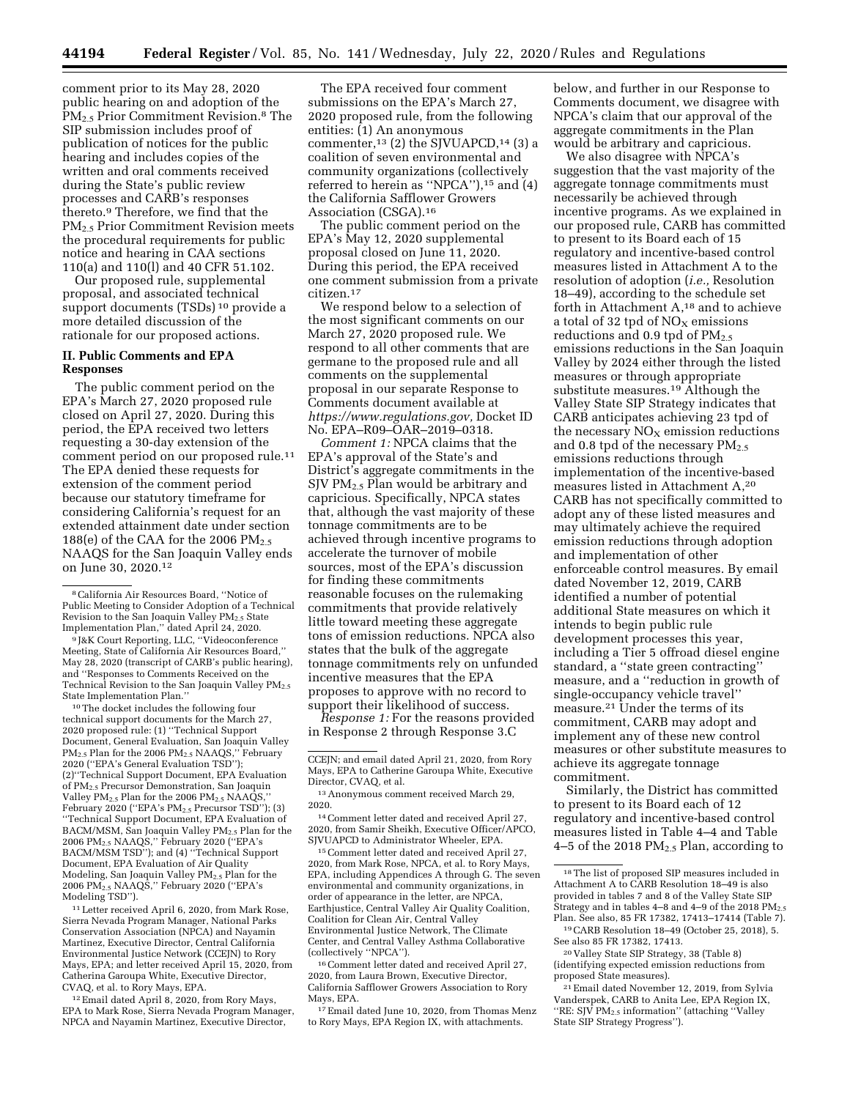comment prior to its May 28, 2020 public hearing on and adoption of the PM2.5 Prior Commitment Revision.8 The SIP submission includes proof of publication of notices for the public hearing and includes copies of the written and oral comments received during the State's public review processes and CARB's responses thereto.9 Therefore, we find that the PM2.5 Prior Commitment Revision meets the procedural requirements for public notice and hearing in CAA sections 110(a) and 110(l) and 40 CFR 51.102.

Our proposed rule, supplemental proposal, and associated technical support documents (TSDs) 10 provide a more detailed discussion of the rationale for our proposed actions.

### **II. Public Comments and EPA Responses**

The public comment period on the EPA's March 27, 2020 proposed rule closed on April 27, 2020. During this period, the EPA received two letters requesting a 30-day extension of the comment period on our proposed rule.11 The EPA denied these requests for extension of the comment period because our statutory timeframe for considering California's request for an extended attainment date under section 188(e) of the CAA for the 2006  $PM_{2.5}$ NAAQS for the San Joaquin Valley ends on June 30, 2020.12

9 J&K Court Reporting, LLC, ''Videoconference Meeting, State of California Air Resources Board,'' May 28, 2020 (transcript of CARB's public hearing), and ''Responses to Comments Received on the Technical Revision to the San Joaquin Valley  $PM_{2.5}$ State Implementation Plan.''

10The docket includes the following four technical support documents for the March 27, 2020 proposed rule: (1) ''Technical Support Document, General Evaluation, San Joaquin Valley<br>PM<sub>2.5</sub> Plan for the 2006 PM<sub>2.5</sub> NAAQS,'' February 2020 (''EPA's General Evaluation TSD''); (2)''Technical Support Document, EPA Evaluation of PM2.5 Precursor Demonstration, San Joaquin Valley  $PM_{2.5}$  Plan for the 2006  $PM_{2.5}$  NAAQS, February 2020 ("EPA's PM<sub>2.5</sub> Precursor TSD"); (3) ''Technical Support Document, EPA Evaluation of BACM/MSM, San Joaquin Valley PM<sub>2.5</sub> Plan for the 2006 PM2.5 NAAQS,'' February 2020 (''EPA's BACM/MSM TSD''); and (4) ''Technical Support Document, EPA Evaluation of Air Quality Modeling, San Joaquin Valley PM2.5 Plan for the 2006 PM2.5 NAAQS,'' February 2020 (''EPA's Modeling TSD'').

11Letter received April 6, 2020, from Mark Rose, Sierra Nevada Program Manager, National Parks Conservation Association (NPCA) and Nayamin Martinez, Executive Director, Central California Environmental Justice Network (CCEJN) to Rory Mays, EPA; and letter received April 15, 2020, from Catherina Garoupa White, Executive Director, CVAQ, et al. to Rory Mays, EPA.

12Email dated April 8, 2020, from Rory Mays, EPA to Mark Rose, Sierra Nevada Program Manager, NPCA and Nayamin Martinez, Executive Director,

The EPA received four comment submissions on the EPA's March 27, 2020 proposed rule, from the following entities: (1) An anonymous commenter,13 (2) the SJVUAPCD,14 (3) a coalition of seven environmental and community organizations (collectively referred to herein as ''NPCA''),15 and (4) the California Safflower Growers Association (CSGA).16

The public comment period on the EPA's May 12, 2020 supplemental proposal closed on June 11, 2020. During this period, the EPA received one comment submission from a private citizen.17

We respond below to a selection of the most significant comments on our March 27, 2020 proposed rule. We respond to all other comments that are germane to the proposed rule and all comments on the supplemental proposal in our separate Response to Comments document available at *[https://www.regulations.gov,](https://www.regulations.gov)* Docket ID No. EPA–R09–OAR–2019–0318.

*Comment 1:* NPCA claims that the EPA's approval of the State's and District's aggregate commitments in the SJV PM2.5 Plan would be arbitrary and capricious. Specifically, NPCA states that, although the vast majority of these tonnage commitments are to be achieved through incentive programs to accelerate the turnover of mobile sources, most of the EPA's discussion for finding these commitments reasonable focuses on the rulemaking commitments that provide relatively little toward meeting these aggregate tons of emission reductions. NPCA also states that the bulk of the aggregate tonnage commitments rely on unfunded incentive measures that the EPA proposes to approve with no record to support their likelihood of success.

*Response 1:* For the reasons provided in Response 2 through Response 3.C

14Comment letter dated and received April 27, 2020, from Samir Sheikh, Executive Officer/APCO, SJVUAPCD to Administrator Wheeler, EPA.

15Comment letter dated and received April 27, 2020, from Mark Rose, NPCA, et al. to Rory Mays, EPA, including Appendices A through G. The seven environmental and community organizations, in order of appearance in the letter, are NPCA, Earthjustice, Central Valley Air Quality Coalition, Coalition for Clean Air, Central Valley Environmental Justice Network, The Climate Center, and Central Valley Asthma Collaborative (collectively ''NPCA'').

16Comment letter dated and received April 27, 2020, from Laura Brown, Executive Director, California Safflower Growers Association to Rory Mays, EPA.

17Email dated June 10, 2020, from Thomas Menz to Rory Mays, EPA Region IX, with attachments.

below, and further in our Response to Comments document, we disagree with NPCA's claim that our approval of the aggregate commitments in the Plan would be arbitrary and capricious.

We also disagree with NPCA's suggestion that the vast majority of the aggregate tonnage commitments must necessarily be achieved through incentive programs. As we explained in our proposed rule, CARB has committed to present to its Board each of 15 regulatory and incentive-based control measures listed in Attachment A to the resolution of adoption (*i.e.,* Resolution 18–49), according to the schedule set forth in Attachment A,18 and to achieve a total of 32 tpd of  $NO<sub>X</sub>$  emissions reductions and  $0.9$  tpd of  $PM_{2.5}$ emissions reductions in the San Joaquin Valley by 2024 either through the listed measures or through appropriate substitute measures.19 Although the Valley State SIP Strategy indicates that CARB anticipates achieving 23 tpd of the necessary  $NO<sub>x</sub>$  emission reductions and 0.8 tpd of the necessary  $PM_{2.5}$ emissions reductions through implementation of the incentive-based measures listed in Attachment A,20 CARB has not specifically committed to adopt any of these listed measures and may ultimately achieve the required emission reductions through adoption and implementation of other enforceable control measures. By email dated November 12, 2019, CARB identified a number of potential additional State measures on which it intends to begin public rule development processes this year, including a Tier 5 offroad diesel engine standard, a ''state green contracting'' measure, and a ''reduction in growth of single-occupancy vehicle travel'' measure.21 Under the terms of its commitment, CARB may adopt and implement any of these new control measures or other substitute measures to achieve its aggregate tonnage commitment.

Similarly, the District has committed to present to its Board each of 12 regulatory and incentive-based control measures listed in Table 4–4 and Table 4–5 of the 2018  $PM_{2.5}$  Plan, according to

19CARB Resolution 18–49 (October 25, 2018), 5. See also 85 FR 17382, 17413.

20 Valley State SIP Strategy, 38 (Table 8) (identifying expected emission reductions from proposed State measures).

21Email dated November 12, 2019, from Sylvia Vanderspek, CARB to Anita Lee, EPA Region IX, ''RE: SJV PM2.5 information'' (attaching ''Valley State SIP Strategy Progress'').

<sup>8</sup>California Air Resources Board, ''Notice of Public Meeting to Consider Adoption of a Technical Revision to the San Joaquin Valley PM<sub>2.5</sub> State Implementation Plan,'' dated April 24, 2020.

CCEJN; and email dated April 21, 2020, from Rory Mays, EPA to Catherine Garoupa White, Executive Director, CVAQ, et al.

<sup>13</sup>Anonymous comment received March 29, 2020.

<sup>18</sup>The list of proposed SIP measures included in Attachment A to CARB Resolution 18–49 is also provided in tables 7 and 8 of the Valley State SIP Strategy and in tables  $4-8$  and  $4-9$  of the 2018  $PM_{2.5}$ Plan. See also, 85 FR 17382, 17413–17414 (Table 7).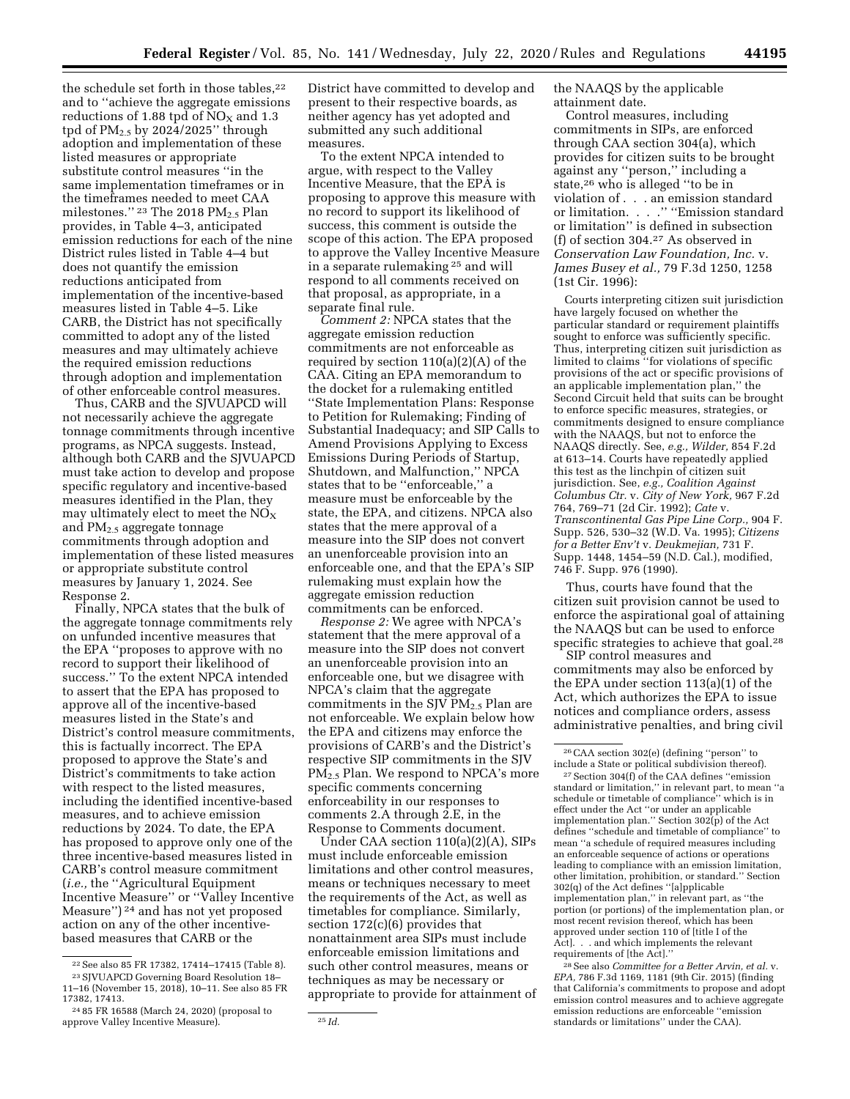the schedule set forth in those tables,<sup>22</sup> and to ''achieve the aggregate emissions reductions of 1.88 tpd of  $NO<sub>X</sub>$  and 1.3 tpd of  $PM<sub>2.5</sub>$  by 2024/2025" through adoption and implementation of these listed measures or appropriate substitute control measures ''in the same implementation timeframes or in the timeframes needed to meet CAA milestones."  $23$  The 2018 PM<sub>2.5</sub> Plan provides, in Table 4–3, anticipated emission reductions for each of the nine District rules listed in Table 4–4 but does not quantify the emission reductions anticipated from implementation of the incentive-based measures listed in Table 4–5. Like CARB, the District has not specifically committed to adopt any of the listed measures and may ultimately achieve the required emission reductions through adoption and implementation of other enforceable control measures.

Thus, CARB and the SJVUAPCD will not necessarily achieve the aggregate tonnage commitments through incentive programs, as NPCA suggests. Instead, although both CARB and the SJVUAPCD must take action to develop and propose specific regulatory and incentive-based measures identified in the Plan, they may ultimately elect to meet the  $NO_X$ and PM2.5 aggregate tonnage commitments through adoption and implementation of these listed measures or appropriate substitute control measures by January 1, 2024. See Response 2.

Finally, NPCA states that the bulk of the aggregate tonnage commitments rely on unfunded incentive measures that the EPA ''proposes to approve with no record to support their likelihood of success." To the extent NPCA intended to assert that the EPA has proposed to approve all of the incentive-based measures listed in the State's and District's control measure commitments, this is factually incorrect. The EPA proposed to approve the State's and District's commitments to take action with respect to the listed measures, including the identified incentive-based measures, and to achieve emission reductions by 2024. To date, the EPA has proposed to approve only one of the three incentive-based measures listed in CARB's control measure commitment (*i.e.,* the ''Agricultural Equipment Incentive Measure'' or ''Valley Incentive Measure'') 24 and has not yet proposed action on any of the other incentivebased measures that CARB or the

District have committed to develop and present to their respective boards, as neither agency has yet adopted and submitted any such additional measures.

To the extent NPCA intended to argue, with respect to the Valley Incentive Measure, that the EPA is proposing to approve this measure with no record to support its likelihood of success, this comment is outside the scope of this action. The EPA proposed to approve the Valley Incentive Measure in a separate rulemaking 25 and will respond to all comments received on that proposal, as appropriate, in a separate final rule.

*Comment 2:* NPCA states that the aggregate emission reduction commitments are not enforceable as required by section  $110(a)(2)(A)$  of the CAA. Citing an EPA memorandum to the docket for a rulemaking entitled ''State Implementation Plans: Response to Petition for Rulemaking; Finding of Substantial Inadequacy; and SIP Calls to Amend Provisions Applying to Excess Emissions During Periods of Startup, Shutdown, and Malfunction,'' NPCA states that to be ''enforceable,'' a measure must be enforceable by the state, the EPA, and citizens. NPCA also states that the mere approval of a measure into the SIP does not convert an unenforceable provision into an enforceable one, and that the EPA's SIP rulemaking must explain how the aggregate emission reduction commitments can be enforced.

*Response 2:* We agree with NPCA's statement that the mere approval of a measure into the SIP does not convert an unenforceable provision into an enforceable one, but we disagree with NPCA's claim that the aggregate commitments in the SJV  $PM_{2.5}$  Plan are not enforceable. We explain below how the EPA and citizens may enforce the provisions of CARB's and the District's respective SIP commitments in the SJV PM<sub>2.5</sub> Plan. We respond to NPCA's more specific comments concerning enforceability in our responses to comments 2.A through 2.E, in the Response to Comments document.

Under CAA section 110(a)(2)(A), SIPs must include enforceable emission limitations and other control measures, means or techniques necessary to meet the requirements of the Act, as well as timetables for compliance. Similarly, section 172(c)(6) provides that nonattainment area SIPs must include enforceable emission limitations and such other control measures, means or techniques as may be necessary or appropriate to provide for attainment of the NAAQS by the applicable attainment date.

Control measures, including commitments in SIPs, are enforced through CAA section 304(a), which provides for citizen suits to be brought against any ''person,'' including a state,26 who is alleged ''to be in violation of . . . an emission standard or limitation. . . . " "Emission standard or limitation'' is defined in subsection (f) of section 304.27 As observed in *Conservation Law Foundation, Inc.* v. *James Busey et al.,* 79 F.3d 1250, 1258 (1st Cir. 1996):

Courts interpreting citizen suit jurisdiction have largely focused on whether the particular standard or requirement plaintiffs sought to enforce was sufficiently specific. Thus, interpreting citizen suit jurisdiction as limited to claims ''for violations of specific provisions of the act or specific provisions of an applicable implementation plan,'' the Second Circuit held that suits can be brought to enforce specific measures, strategies, or commitments designed to ensure compliance with the NAAQS, but not to enforce the NAAQS directly. See, *e.g., Wilder,* 854 F.2d at 613–14. Courts have repeatedly applied this test as the linchpin of citizen suit jurisdiction. See, *e.g., Coalition Against Columbus Ctr.* v. *City of New York,* 967 F.2d 764, 769–71 (2d Cir. 1992); *Cate* v. *Transcontinental Gas Pipe Line Corp.,* 904 F. Supp. 526, 530–32 (W.D. Va. 1995); *Citizens for a Better Env't* v. *Deukmejian,* 731 F. Supp. 1448, 1454–59 (N.D. Cal.), modified, 746 F. Supp. 976 (1990).

Thus, courts have found that the citizen suit provision cannot be used to enforce the aspirational goal of attaining the NAAQS but can be used to enforce specific strategies to achieve that goal.<sup>28</sup>

SIP control measures and commitments may also be enforced by the EPA under section 113(a)(1) of the Act, which authorizes the EPA to issue notices and compliance orders, assess administrative penalties, and bring civil

28See also *Committee for a Better Arvin, et al.* v. *EPA,* 786 F.3d 1169, 1181 (9th Cir. 2015) (finding that California's commitments to propose and adopt emission control measures and to achieve aggregate emission reductions are enforceable ''emission standards or limitations'' under the CAA).

 $^{22}$  See also 85 FR 17382, 17414–17415 (Table 8).  $^{23}$  SJVUAPCD Governing Board Resolution 18– 11–16 (November 15, 2018), 10–11. See also 85 FR

<sup>&</sup>lt;sup>24</sup> 85 FR 16588 (March 24, 2020) (proposal to approve Valley Incentive Measure). <sup>25</sup> *Id.* <sup>25</sup> *Id.* 

<sup>26</sup>CAA section 302(e) (defining ''person'' to include a State or political subdivision thereof).

<sup>27</sup>Section 304(f) of the CAA defines ''emission standard or limitation," in relevant part, to mean "a schedule or timetable of compliance'' which is in effect under the Act ''or under an applicable implementation plan." Section  $302(p)$  of the Act defines ''schedule and timetable of compliance'' to mean ''a schedule of required measures including an enforceable sequence of actions or operations leading to compliance with an emission limitation, other limitation, prohibition, or standard.'' Section 302(q) of the Act defines ''[a]pplicable implementation plan,'' in relevant part, as ''the portion (or portions) of the implementation plan, or most recent revision thereof, which has been approved under section 110 of [title I of the Act]. . . and which implements the relevant requirements of [the Act].''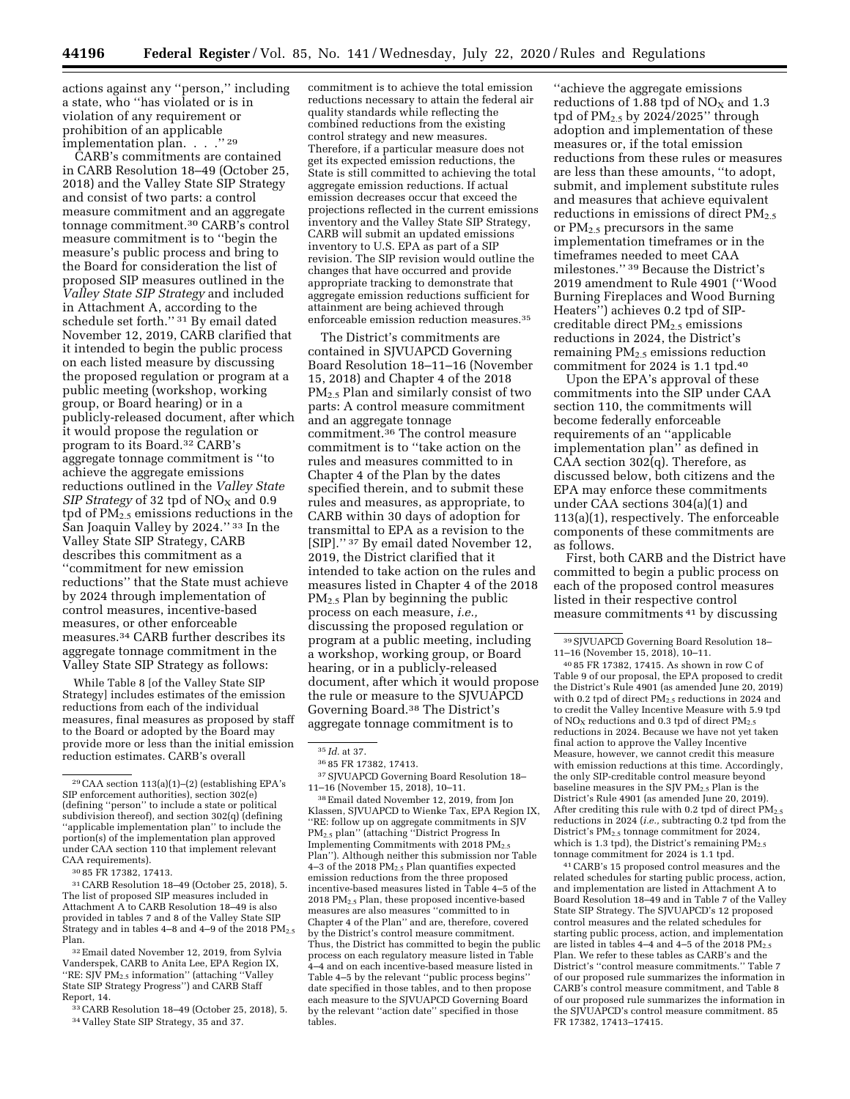actions against any ''person,'' including a state, who ''has violated or is in violation of any requirement or prohibition of an applicable implementation plan. . . ."29

CARB's commitments are contained in CARB Resolution 18–49 (October 25, 2018) and the Valley State SIP Strategy and consist of two parts: a control measure commitment and an aggregate tonnage commitment.30 CARB's control measure commitment is to ''begin the measure's public process and bring to the Board for consideration the list of proposed SIP measures outlined in the *Valley State SIP Strategy* and included in Attachment A, according to the schedule set forth.'' 31 By email dated November 12, 2019, CARB clarified that it intended to begin the public process on each listed measure by discussing the proposed regulation or program at a public meeting (workshop, working group, or Board hearing) or in a publicly-released document, after which it would propose the regulation or program to its Board.32 CARB's aggregate tonnage commitment is ''to achieve the aggregate emissions reductions outlined in the *Valley State SIP Strategy* of 32 tpd of  $NO<sub>X</sub>$  and 0.9 tpd of  $PM_{2,5}$  emissions reductions in the San Joaquin Valley by 2024.'' 33 In the Valley State SIP Strategy, CARB describes this commitment as a ''commitment for new emission reductions'' that the State must achieve by 2024 through implementation of control measures, incentive-based measures, or other enforceable measures.34 CARB further describes its aggregate tonnage commitment in the Valley State SIP Strategy as follows:

While Table 8 [of the Valley State SIP Strategy] includes estimates of the emission reductions from each of the individual measures, final measures as proposed by staff to the Board or adopted by the Board may provide more or less than the initial emission reduction estimates. CARB's overall

30 85 FR 17382, 17413.

31CARB Resolution 18–49 (October 25, 2018), 5. The list of proposed SIP measures included in Attachment A to CARB Resolution 18–49 is also provided in tables 7 and 8 of the Valley State SIP Strategy and in tables  $4-8$  and  $4-9$  of the 2018  $PM_{2.5}$ Plan.

32Email dated November 12, 2019, from Sylvia Vanderspek, CARB to Anita Lee, EPA Region IX, "RE:  $S$ JV PM<sub>2.5</sub> information" (attaching "Valley" State SIP Strategy Progress'') and CARB Staff Report, 14.

33CARB Resolution 18–49 (October 25, 2018), 5. 34 Valley State SIP Strategy, 35 and 37.

commitment is to achieve the total emission reductions necessary to attain the federal air quality standards while reflecting the combined reductions from the existing control strategy and new measures. Therefore, if a particular measure does not get its expected emission reductions, the State is still committed to achieving the total aggregate emission reductions. If actual emission decreases occur that exceed the projections reflected in the current emissions inventory and the Valley State SIP Strategy, CARB will submit an updated emissions inventory to U.S. EPA as part of a SIP revision. The SIP revision would outline the changes that have occurred and provide appropriate tracking to demonstrate that aggregate emission reductions sufficient for attainment are being achieved through enforceable emission reduction measures.35

The District's commitments are contained in SJVUAPCD Governing Board Resolution 18–11–16 (November 15, 2018) and Chapter 4 of the 2018 PM2.5 Plan and similarly consist of two parts: A control measure commitment and an aggregate tonnage commitment.36 The control measure commitment is to ''take action on the rules and measures committed to in Chapter 4 of the Plan by the dates specified therein, and to submit these rules and measures, as appropriate, to CARB within 30 days of adoption for transmittal to EPA as a revision to the [SIP].'' 37 By email dated November 12, 2019, the District clarified that it intended to take action on the rules and measures listed in Chapter 4 of the 2018 PM2.5 Plan by beginning the public process on each measure, *i.e.,*  discussing the proposed regulation or program at a public meeting, including a workshop, working group, or Board hearing, or in a publicly-released document, after which it would propose the rule or measure to the SJVUAPCD Governing Board.38 The District's aggregate tonnage commitment is to

37SJVUAPCD Governing Board Resolution 18– 11–16 (November 15, 2018), 10–11.

38Email dated November 12, 2019, from Jon Klassen, SJVUAPCD to Wienke Tax, EPA Region IX, ''RE: follow up on aggregate commitments in SJV PM2.5 plan'' (attaching ''District Progress In Implementing Commitments with 2018 PM<sub>2.5</sub> Plan''). Although neither this submission nor Table 4–3 of the 2018 PM2.5 Plan quantifies expected emission reductions from the three proposed incentive-based measures listed in Table 4–5 of the 2018 PM2.5 Plan, these proposed incentive-based measures are also measures ''committed to in Chapter 4 of the Plan'' and are, therefore, covered by the District's control measure commitment. Thus, the District has committed to begin the public process on each regulatory measure listed in Table 4–4 and on each incentive-based measure listed in Table 4–5 by the relevant ''public process begins'' date specified in those tables, and to then propose each measure to the SJVUAPCD Governing Board by the relevant ''action date'' specified in those tables.

''achieve the aggregate emissions reductions of 1.88 tpd of  $NO<sub>X</sub>$  and 1.3 tpd of  $PM_{2.5}$  by 2024/2025" through adoption and implementation of these measures or, if the total emission reductions from these rules or measures are less than these amounts, ''to adopt, submit, and implement substitute rules and measures that achieve equivalent reductions in emissions of direct PM2.5 or PM2.5 precursors in the same implementation timeframes or in the timeframes needed to meet CAA milestones.'' 39 Because the District's 2019 amendment to Rule 4901 (''Wood Burning Fireplaces and Wood Burning Heaters'') achieves 0.2 tpd of SIPcreditable direct  $PM_{2.5}$  emissions reductions in 2024, the District's remaining  $PM_{2,5}$  emissions reduction commitment for 2024 is 1.1 tpd.40

Upon the EPA's approval of these commitments into the SIP under CAA section 110, the commitments will become federally enforceable requirements of an ''applicable implementation plan'' as defined in CAA section 302(q). Therefore, as discussed below, both citizens and the EPA may enforce these commitments under CAA sections 304(a)(1) and 113(a)(1), respectively. The enforceable components of these commitments are as follows.

First, both CARB and the District have committed to begin a public process on each of the proposed control measures listed in their respective control measure commitments 41 by discussing

40 85 FR 17382, 17415. As shown in row C of Table 9 of our proposal, the EPA proposed to credit the District's Rule 4901 (as amended June 20, 2019) with 0.2 tpd of direct PM2.5 reductions in 2024 and to credit the Valley Incentive Measure with 5.9 tpd of  $NO<sub>x</sub>$  reductions and 0.3 tpd of direct  $PM<sub>2.5</sub>$ reductions in 2024. Because we have not yet taken final action to approve the Valley Incentive Measure, however, we cannot credit this measure with emission reductions at this time. Accordingly, the only SIP-creditable control measure beyond baseline measures in the SJV PM2.5 Plan is the District's Rule 4901 (as amended June 20, 2019). After crediting this rule with 0.2 tpd of direct  $PM_{2.5}$ reductions in 2024 (*i.e.,* subtracting 0.2 tpd from the District's PM2.5 tonnage commitment for 2024, which is 1.3 tpd), the District's remaining  $PM_{2.5}$ tonnage commitment for 2024 is 1.1 tpd.

41CARB's 15 proposed control measures and the related schedules for starting public process, action, and implementation are listed in Attachment A to Board Resolution 18–49 and in Table 7 of the Valley State SIP Strategy. The SJVUAPCD's 12 proposed control measures and the related schedules for starting public process, action, and implementation are listed in tables  $4-4$  and  $4-5$  of the 2018 PM<sub>2.5</sub> Plan. We refer to these tables as CARB's and the District's ''control measure commitments.'' Table 7 of our proposed rule summarizes the information in CARB's control measure commitment, and Table 8 of our proposed rule summarizes the information in the SJVUAPCD's control measure commitment. 85 FR 17382, 17413–17415.

<sup>29</sup>CAA section 113(a)(1)–(2) (establishing EPA's SIP enforcement authorities), section 302(e) (defining ''person'' to include a state or political subdivision thereof), and section 302(q) (defining ''applicable implementation plan'' to include the portion(s) of the implementation plan approved under CAA section 110 that implement relevant CAA requirements).

<sup>35</sup> *Id.* at 37.

<sup>36</sup> 85 FR 17382, 17413.

<sup>39</sup>SJVUAPCD Governing Board Resolution 18– 11–16 (November 15, 2018), 10–11.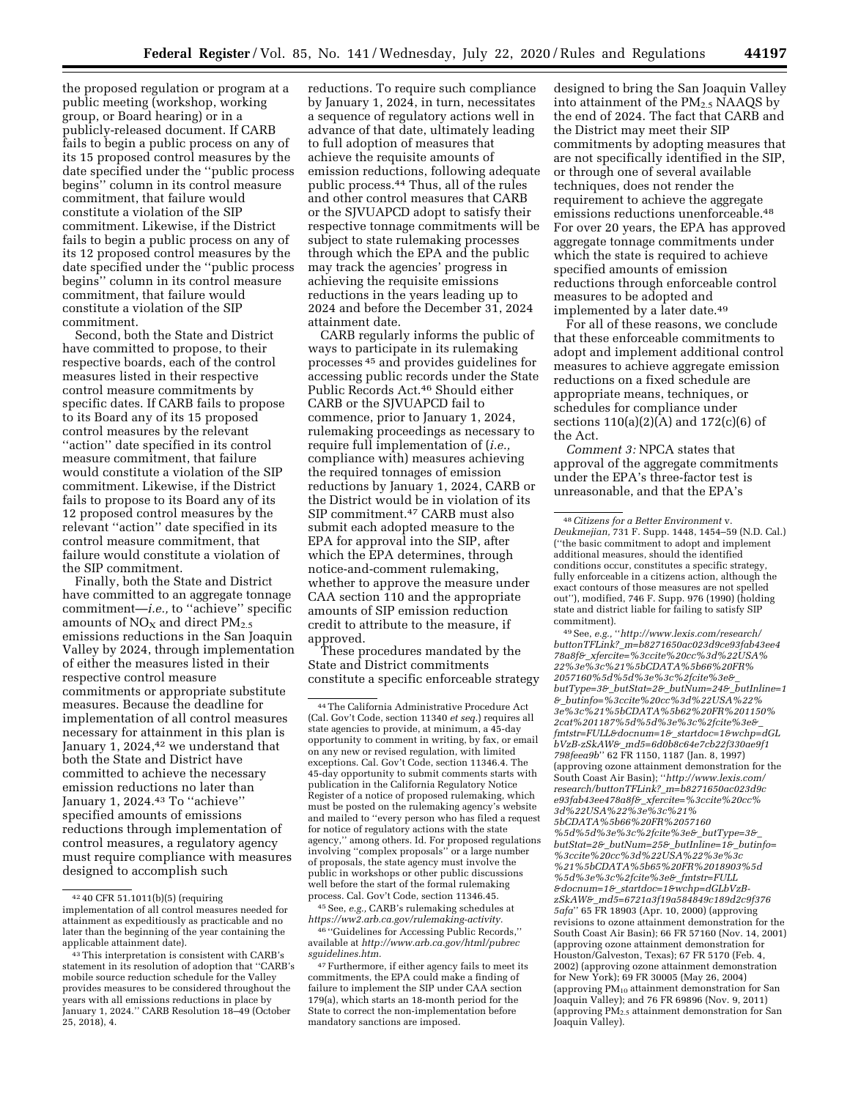the proposed regulation or program at a public meeting (workshop, working group, or Board hearing) or in a publicly-released document. If CARB fails to begin a public process on any of its 15 proposed control measures by the date specified under the ''public process begins'' column in its control measure commitment, that failure would constitute a violation of the SIP commitment. Likewise, if the District fails to begin a public process on any of its 12 proposed control measures by the date specified under the ''public process begins'' column in its control measure commitment, that failure would constitute a violation of the SIP commitment.

Second, both the State and District have committed to propose, to their respective boards, each of the control measures listed in their respective control measure commitments by specific dates. If CARB fails to propose to its Board any of its 15 proposed control measures by the relevant ''action'' date specified in its control measure commitment, that failure would constitute a violation of the SIP commitment. Likewise, if the District fails to propose to its Board any of its 12 proposed control measures by the relevant ''action'' date specified in its control measure commitment, that failure would constitute a violation of the SIP commitment.

Finally, both the State and District have committed to an aggregate tonnage commitment—*i.e.,* to ''achieve'' specific amounts of  $NO<sub>X</sub>$  and direct  $PM<sub>2.5</sub>$ emissions reductions in the San Joaquin Valley by 2024, through implementation of either the measures listed in their respective control measure commitments or appropriate substitute measures. Because the deadline for implementation of all control measures necessary for attainment in this plan is January 1, 2024,<sup>42</sup> we understand that both the State and District have committed to achieve the necessary emission reductions no later than January 1, 2024.<sup>43</sup> To "achieve" specified amounts of emissions reductions through implementation of control measures, a regulatory agency must require compliance with measures designed to accomplish such

reductions. To require such compliance by January 1, 2024, in turn, necessitates a sequence of regulatory actions well in advance of that date, ultimately leading to full adoption of measures that achieve the requisite amounts of emission reductions, following adequate public process.44 Thus, all of the rules and other control measures that CARB or the SJVUAPCD adopt to satisfy their respective tonnage commitments will be subject to state rulemaking processes through which the EPA and the public may track the agencies' progress in achieving the requisite emissions reductions in the years leading up to 2024 and before the December 31, 2024 attainment date.

CARB regularly informs the public of ways to participate in its rulemaking processes 45 and provides guidelines for accessing public records under the State Public Records Act.46 Should either CARB or the SJVUAPCD fail to commence, prior to January 1, 2024, rulemaking proceedings as necessary to require full implementation of (*i.e.,*  compliance with) measures achieving the required tonnages of emission reductions by January 1, 2024, CARB or the District would be in violation of its SIP commitment.47 CARB must also submit each adopted measure to the EPA for approval into the SIP, after which the EPA determines, through notice-and-comment rulemaking, whether to approve the measure under CAA section 110 and the appropriate amounts of SIP emission reduction credit to attribute to the measure, if approved.

These procedures mandated by the State and District commitments constitute a specific enforceable strategy

45See, *e.g.,* CARB's rulemaking schedules at *[https://ww2.arb.ca.gov/rulemaking-activity.](https://ww2.arb.ca.gov/rulemaking-activity)* 

46 ''Guidelines for Accessing Public Records,'' available at *[http://www.arb.ca.gov/html/pubrec](http://www.arb.ca.gov/html/pubrecsguidelines.htm) [sguidelines.htm.](http://www.arb.ca.gov/html/pubrecsguidelines.htm)* 

47Furthermore, if either agency fails to meet its commitments, the EPA could make a finding of failure to implement the SIP under CAA section 179(a), which starts an 18-month period for the State to correct the non-implementation before mandatory sanctions are imposed.

designed to bring the San Joaquin Valley into attainment of the  $PM_2$ , NAAQS by the end of 2024. The fact that CARB and the District may meet their SIP commitments by adopting measures that are not specifically identified in the SIP, or through one of several available techniques, does not render the requirement to achieve the aggregate emissions reductions unenforceable.48 For over 20 years, the EPA has approved aggregate tonnage commitments under which the state is required to achieve specified amounts of emission reductions through enforceable control measures to be adopted and implemented by a later date.<sup>49</sup>

For all of these reasons, we conclude that these enforceable commitments to adopt and implement additional control measures to achieve aggregate emission reductions on a fixed schedule are appropriate means, techniques, or schedules for compliance under sections 110(a)(2)(A) and 172(c)(6) of the Act.

*Comment 3:* NPCA states that approval of the aggregate commitments under the EPA's three-factor test is unreasonable, and that the EPA's

49See, *e.g.,* ''*[http://www.lexis.com/research/](http://www.lexis.com/research/buttonTFLink?_m=b8271650ac023d9ce93fab43ee478a8f&_xfercite=%3ccite%20cc%3d%22USA%22%3e%3c%21%5bCDATA%5b66%20FR%2057160%5d%5d%3e%3c%2fcite%3e&_butType=3&_butStat=2&_butNum=24&_butInline=1&_butinfo=%3ccite%20cc%3d%22USA%22%3e%3c%21%5bCDATA%5b62%20FR%201150%2cat%201187%5d%5d%3e%3c%2fcite%3e&_fmtstr=FULL&docnum=1&_startdoc=1&wchp=dGLbVzB-zSkAW&_md5=6d0b8c64e7cb22f330ae9f1798feea9b)  buttonTFLink?*\_*m=b8271650ac023d9ce93fab43ee4 78a8f&*\_*xfercite=%3ccite%20cc%3d%22USA% 22%3e%3c%21%5bCDATA%5b66%20FR% 2057160%5d%5d%3e%3c%2fcite%3e&*\_ *butType=3&*\_*butStat=2&*\_*butNum=24&*\_*butInline=1 &*\_*butinfo=%3ccite%20cc%3d%22USA%22% [3e%3c%21%5bCDATA%5b62%20FR%201150%](http://www.lexis.com/research/buttonTFLink?_m=b8271650ac023d9ce93fab43ee478a8f&_xfercite=%3ccite%20cc%3d%22USA%22%3e%3c%21%5bCDATA%5b66%20FR%2057160%5d%5d%3e%3c%2fcite%3e&_butType=3&_butStat=2&_butNum=24&_butInline=1&_butinfo=%3ccite%20cc%3d%22USA%22%3e%3c%21%5bCDATA%5b62%20FR%201150%2cat%201187%5d%5d%3e%3c%2fcite%3e&_fmtstr=FULL&docnum=1&_startdoc=1&wchp=dGLbVzB-zSkAW&_md5=6d0b8c64e7cb22f330ae9f1798feea9b) 2cat%201187%5d%5d%3e%3c%2fcite%3e&*\_ *fmtstr=FULL&docnum=1&*\_*startdoc=1&wchp=dGL bVzB-zSkAW&*\_*md5=6d0b8c64e7cb22f330ae9f1 [798feea9b](http://www.lexis.com/research/buttonTFLink?_m=b8271650ac023d9ce93fab43ee478a8f&_xfercite=%3ccite%20cc%3d%22USA%22%3e%3c%21%5bCDATA%5b66%20FR%2057160%5d%5d%3e%3c%2fcite%3e&_butType=3&_butStat=2&_butNum=24&_butInline=1&_butinfo=%3ccite%20cc%3d%22USA%22%3e%3c%21%5bCDATA%5b62%20FR%201150%2cat%201187%5d%5d%3e%3c%2fcite%3e&_fmtstr=FULL&docnum=1&_startdoc=1&wchp=dGLbVzB-zSkAW&_md5=6d0b8c64e7cb22f330ae9f1798feea9b)*'' 62 FR 1150, 1187 (Jan. 8, 1997) (approving ozone attainment demonstration for the South Coast Air Basin); ''*[http://www.lexis.com/](http://www.lexis.com/research/buttonTFLink?_m=b8271650ac023d9ce93fab43ee478a8f&_xfercite=%3ccite%20cc%3d%22USA%22%3e%3c%21%5bCDATA%5b66%20FR%2057160%5d%5d%3e%3c%2fcite%3e&_butType=3&_butStat=2&_butNum=25&_butInline=1&_butinfo=%3ccite%20cc%3d%22USA%22%3e%3c%21%5bCDATA%5b65%20FR%2018903%5d%5d%3e%3c%2fcite%3e&_fmtstr=FULL&docnum=1&_startdoc=1&wchp=dGLbVzB-zSkAW&_md5=6721a3f19a584849c189d2c9f3765afa)  research/buttonTFLink?*\_*m=b8271650ac023d9c e93fab43ee478a8f&*\_*[xfercite=%3ccite%20cc%](http://www.lexis.com/research/buttonTFLink?_m=b8271650ac023d9ce93fab43ee478a8f&_xfercite=%3ccite%20cc%3d%22USA%22%3e%3c%21%5bCDATA%5b66%20FR%2057160%5d%5d%3e%3c%2fcite%3e&_butType=3&_butStat=2&_butNum=25&_butInline=1&_butinfo=%3ccite%20cc%3d%22USA%22%3e%3c%21%5bCDATA%5b65%20FR%2018903%5d%5d%3e%3c%2fcite%3e&_fmtstr=FULL&docnum=1&_startdoc=1&wchp=dGLbVzB-zSkAW&_md5=6721a3f19a584849c189d2c9f3765afa) [3d%22USA%22%3e%3c%21%](http://www.lexis.com/research/buttonTFLink?_m=b8271650ac023d9ce93fab43ee478a8f&_xfercite=%3ccite%20cc%3d%22USA%22%3e%3c%21%5bCDATA%5b66%20FR%2057160%5d%5d%3e%3c%2fcite%3e&_butType=3&_butStat=2&_butNum=25&_butInline=1&_butinfo=%3ccite%20cc%3d%22USA%22%3e%3c%21%5bCDATA%5b65%20FR%2018903%5d%5d%3e%3c%2fcite%3e&_fmtstr=FULL&docnum=1&_startdoc=1&wchp=dGLbVzB-zSkAW&_md5=6721a3f19a584849c189d2c9f3765afa) [5bCDATA%5b66%20FR%2057160](http://www.lexis.com/research/buttonTFLink?_m=b8271650ac023d9ce93fab43ee478a8f&_xfercite=%3ccite%20cc%3d%22USA%22%3e%3c%21%5bCDATA%5b66%20FR%2057160%5d%5d%3e%3c%2fcite%3e&_butType=3&_butStat=2&_butNum=25&_butInline=1&_butinfo=%3ccite%20cc%3d%22USA%22%3e%3c%21%5bCDATA%5b65%20FR%2018903%5d%5d%3e%3c%2fcite%3e&_fmtstr=FULL&docnum=1&_startdoc=1&wchp=dGLbVzB-zSkAW&_md5=6721a3f19a584849c189d2c9f3765afa) %5d%5d%3e%3c%2fcite%3e&*\_*butType=3&*\_ *butStat=2&*\_*butNum=25&*\_*butInline=1&*\_*butinfo= %3ccite%20cc%3d%22USA%22%3e%3c [%21%5bCDATA%5b65%20FR%2018903%5d](http://www.lexis.com/research/buttonTFLink?_m=b8271650ac023d9ce93fab43ee478a8f&_xfercite=%3ccite%20cc%3d%22USA%22%3e%3c%21%5bCDATA%5b66%20FR%2057160%5d%5d%3e%3c%2fcite%3e&_butType=3&_butStat=2&_butNum=25&_butInline=1&_butinfo=%3ccite%20cc%3d%22USA%22%3e%3c%21%5bCDATA%5b65%20FR%2018903%5d%5d%3e%3c%2fcite%3e&_fmtstr=FULL&docnum=1&_startdoc=1&wchp=dGLbVzB-zSkAW&_md5=6721a3f19a584849c189d2c9f3765afa) %5d%3e%3c%2fcite%3e&*\_*fmtstr=FULL &docnum=1&*\_*startdoc=1&wchp=dGLbVzBzSkAW&*\_*md5=6721a3f19a584849c189d2c9f376 [5afa](http://www.lexis.com/research/buttonTFLink?_m=b8271650ac023d9ce93fab43ee478a8f&_xfercite=%3ccite%20cc%3d%22USA%22%3e%3c%21%5bCDATA%5b66%20FR%2057160%5d%5d%3e%3c%2fcite%3e&_butType=3&_butStat=2&_butNum=25&_butInline=1&_butinfo=%3ccite%20cc%3d%22USA%22%3e%3c%21%5bCDATA%5b65%20FR%2018903%5d%5d%3e%3c%2fcite%3e&_fmtstr=FULL&docnum=1&_startdoc=1&wchp=dGLbVzB-zSkAW&_md5=6721a3f19a584849c189d2c9f3765afa)*'' 65 FR 18903 (Apr. 10, 2000) (approving revisions to ozone attainment demonstration for the South Coast Air Basin); 66 FR 57160 (Nov. 14, 2001) (approving ozone attainment demonstration for Houston/Galveston, Texas); 67 FR 5170 (Feb. 4, 2002) (approving ozone attainment demonstration for New York); 69 FR 30005 (May 26, 2004) (approving  $PM_{10}$  attainment demonstration for San Joaquin Valley); and 76 FR 69896 (Nov. 9, 2011) (approving  $PM_{2.5}$  attainment demonstration for San Joaquin Valley).

<sup>42</sup> 40 CFR 51.1011(b)(5) (requiring implementation of all control measures needed for attainment as expeditiously as practicable and no later than the beginning of the year containing the applicable attainment date).

<sup>43</sup>This interpretation is consistent with CARB's statement in its resolution of adoption that ''CARB's mobile source reduction schedule for the Valley provides measures to be considered throughout the years with all emissions reductions in place by January 1, 2024.'' CARB Resolution 18–49 (October 25, 2018), 4.

<sup>44</sup>The California Administrative Procedure Act (Cal. Gov't Code, section 11340 *et seq.*) requires all state agencies to provide, at minimum, a 45-day opportunity to comment in writing, by fax, or email on any new or revised regulation, with limited exceptions. Cal. Gov't Code, section 11346.4. The 45-day opportunity to submit comments starts with publication in the California Regulatory Notice Register of a notice of proposed rulemaking, which must be posted on the rulemaking agency's website and mailed to ''every person who has filed a request for notice of regulatory actions with the state agency,'' among others. Id. For proposed regulations involving ''complex proposals'' or a large number of proposals, the state agency must involve the public in workshops or other public discussions well before the start of the formal rulemaking process. Cal. Gov't Code, section 11346.45.

<sup>48</sup>*Citizens for a Better Environment* v. *Deukmejian,* 731 F. Supp. 1448, 1454–59 (N.D. Cal.) (''the basic commitment to adopt and implement additional measures, should the identified conditions occur, constitutes a specific strategy, fully enforceable in a citizens action, although the exact contours of those measures are not spelled out''), modified, 746 F. Supp. 976 (1990) (holding state and district liable for failing to satisfy SIP commitment).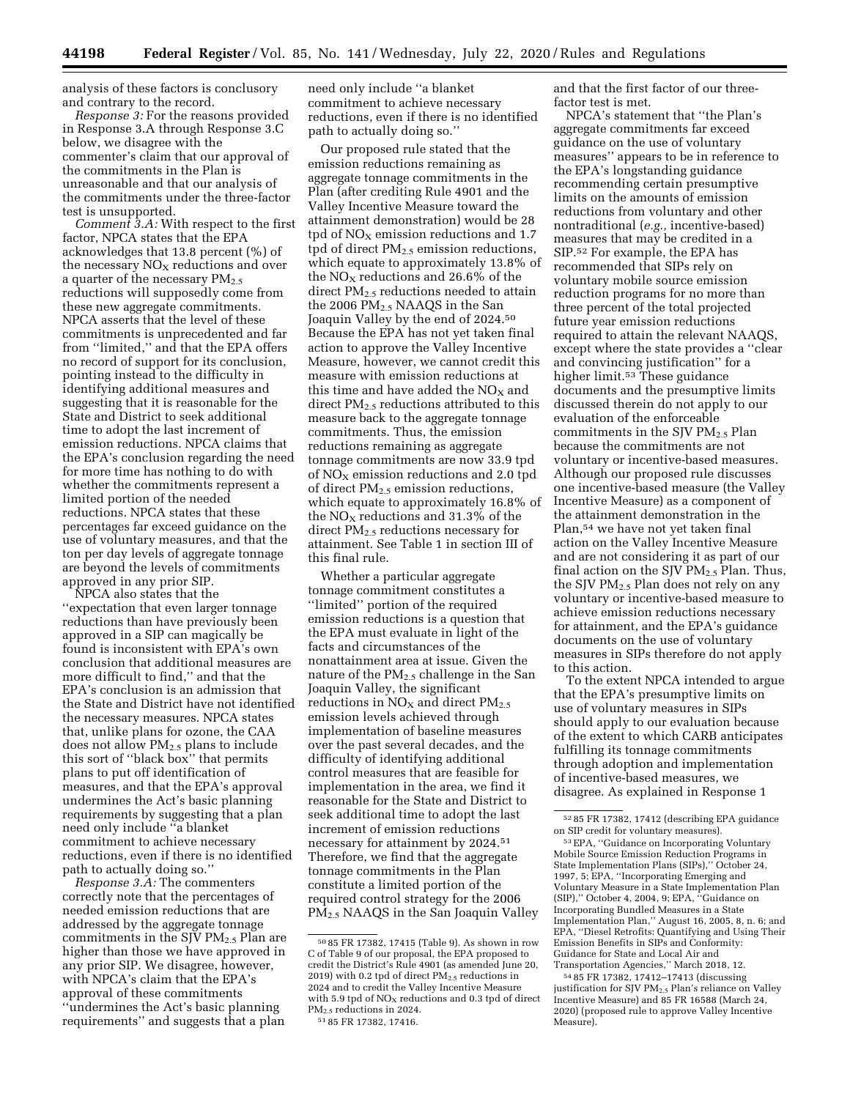analysis of these factors is conclusory and contrary to the record.

*Response 3:* For the reasons provided in Response 3.A through Response 3.C below, we disagree with the commenter's claim that our approval of the commitments in the Plan is unreasonable and that our analysis of the commitments under the three-factor test is unsupported.

*Comment 3.A:* With respect to the first factor, NPCA states that the EPA acknowledges that 13.8 percent (%) of the necessary  $NO<sub>x</sub>$  reductions and over a quarter of the necessary PM<sub>2.5</sub> reductions will supposedly come from these new aggregate commitments. NPCA asserts that the level of these commitments is unprecedented and far from ''limited,'' and that the EPA offers no record of support for its conclusion, pointing instead to the difficulty in identifying additional measures and suggesting that it is reasonable for the State and District to seek additional time to adopt the last increment of emission reductions. NPCA claims that the EPA's conclusion regarding the need for more time has nothing to do with whether the commitments represent a limited portion of the needed reductions. NPCA states that these percentages far exceed guidance on the use of voluntary measures, and that the ton per day levels of aggregate tonnage are beyond the levels of commitments approved in any prior SIP.

NPCA also states that the ''expectation that even larger tonnage reductions than have previously been approved in a SIP can magically be found is inconsistent with EPA's own conclusion that additional measures are more difficult to find,'' and that the EPA's conclusion is an admission that the State and District have not identified the necessary measures. NPCA states that, unlike plans for ozone, the CAA does not allow PM<sub>2.5</sub> plans to include this sort of ''black box'' that permits plans to put off identification of measures, and that the EPA's approval undermines the Act's basic planning requirements by suggesting that a plan need only include ''a blanket commitment to achieve necessary reductions, even if there is no identified path to actually doing so.''

*Response 3.A:* The commenters correctly note that the percentages of needed emission reductions that are addressed by the aggregate tonnage commitments in the SJV PM<sub>2.5</sub> Plan are higher than those we have approved in any prior SIP. We disagree, however, with NPCA's claim that the EPA's approval of these commitments ''undermines the Act's basic planning requirements'' and suggests that a plan

need only include ''a blanket commitment to achieve necessary reductions, even if there is no identified path to actually doing so.''

Our proposed rule stated that the emission reductions remaining as aggregate tonnage commitments in the Plan (after crediting Rule 4901 and the Valley Incentive Measure toward the attainment demonstration) would be 28 tpd of  $NO<sub>X</sub>$  emission reductions and 1.7 tpd of direct  $PM_{2.5}$  emission reductions, which equate to approximately 13.8% of the  $NO<sub>x</sub>$  reductions and 26.6% of the direct PM2.5 reductions needed to attain the 2006 PM2.5 NAAQS in the San Joaquin Valley by the end of 2024.50 Because the EPA has not yet taken final action to approve the Valley Incentive Measure, however, we cannot credit this measure with emission reductions at this time and have added the  $NO<sub>X</sub>$  and direct PM<sub>2.5</sub> reductions attributed to this measure back to the aggregate tonnage commitments. Thus, the emission reductions remaining as aggregate tonnage commitments are now 33.9 tpd of  $NO<sub>x</sub>$  emission reductions and 2.0 tpd of direct  $PM_{2.5}$  emission reductions, which equate to approximately 16.8% of the  $NO<sub>x</sub>$  reductions and 31.3% of the direct PM<sub>2.5</sub> reductions necessary for attainment. See Table 1 in section III of this final rule.

Whether a particular aggregate tonnage commitment constitutes a ''limited'' portion of the required emission reductions is a question that the EPA must evaluate in light of the facts and circumstances of the nonattainment area at issue. Given the nature of the PM<sub>2.5</sub> challenge in the San Joaquin Valley, the significant reductions in  $NO<sub>X</sub>$  and direct  $PM<sub>2.5</sub>$ emission levels achieved through implementation of baseline measures over the past several decades, and the difficulty of identifying additional control measures that are feasible for implementation in the area, we find it reasonable for the State and District to seek additional time to adopt the last increment of emission reductions necessary for attainment by 2024.51 Therefore, we find that the aggregate tonnage commitments in the Plan constitute a limited portion of the required control strategy for the 2006 PM2.5 NAAQS in the San Joaquin Valley

51 85 FR 17382, 17416.

and that the first factor of our threefactor test is met.

NPCA's statement that ''the Plan's aggregate commitments far exceed guidance on the use of voluntary measures'' appears to be in reference to the EPA's longstanding guidance recommending certain presumptive limits on the amounts of emission reductions from voluntary and other nontraditional (*e.g.,* incentive-based) measures that may be credited in a SIP.52 For example, the EPA has recommended that SIPs rely on voluntary mobile source emission reduction programs for no more than three percent of the total projected future year emission reductions required to attain the relevant NAAQS, except where the state provides a ''clear and convincing justification'' for a higher limit.<sup>53</sup> These guidance documents and the presumptive limits discussed therein do not apply to our evaluation of the enforceable commitments in the SJV  $PM_{2.5}$  Plan because the commitments are not voluntary or incentive-based measures. Although our proposed rule discusses one incentive-based measure (the Valley Incentive Measure) as a component of the attainment demonstration in the Plan,54 we have not yet taken final action on the Valley Incentive Measure and are not considering it as part of our final action on the SJV  $PM_{2.5}$  Plan. Thus, the SJV PM2.5 Plan does not rely on any voluntary or incentive-based measure to achieve emission reductions necessary for attainment, and the EPA's guidance documents on the use of voluntary measures in SIPs therefore do not apply to this action.

To the extent NPCA intended to argue that the EPA's presumptive limits on use of voluntary measures in SIPs should apply to our evaluation because of the extent to which CARB anticipates fulfilling its tonnage commitments through adoption and implementation of incentive-based measures, we disagree. As explained in Response 1

<sup>50</sup> 85 FR 17382, 17415 (Table 9). As shown in row C of Table 9 of our proposal, the EPA proposed to credit the District's Rule 4901 (as amended June 20, 2019) with 0.2 tpd of direct  $PM_{2.5}$  reductions in 2024 and to credit the Valley Incentive Measure with 5.9 tpd of  $NO<sub>x</sub>$  reductions and 0.3 tpd of direct PM2.5 reductions in 2024.

<sup>52</sup> 85 FR 17382, 17412 (describing EPA guidance on SIP credit for voluntary measures).

<sup>53</sup>EPA, ''Guidance on Incorporating Voluntary Mobile Source Emission Reduction Programs in State Implementation Plans (SIPs),'' October 24, 1997, 5; EPA, ''Incorporating Emerging and Voluntary Measure in a State Implementation Plan (SIP),'' October 4, 2004, 9; EPA, ''Guidance on Incorporating Bundled Measures in a State Implementation Plan,'' August 16, 2005, 8, n. 6; and EPA, ''Diesel Retrofits: Quantifying and Using Their Emission Benefits in SIPs and Conformity: Guidance for State and Local Air and Transportation Agencies,'' March 2018, 12.

<sup>54</sup> 85 FR 17382, 17412–17413 (discussing justification for SJV P $M_{2.5}$  Plan's reliance on Valley Incentive Measure) and 85 FR 16588 (March 24, 2020) (proposed rule to approve Valley Incentive Measure).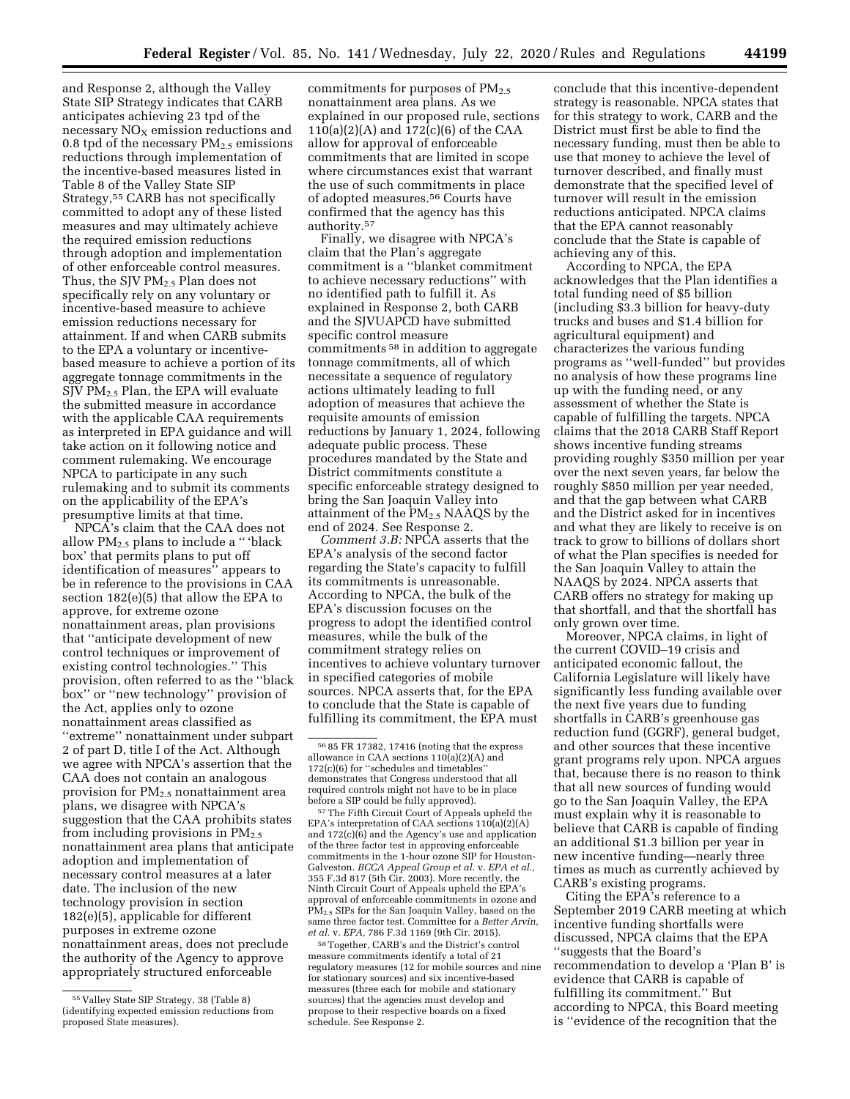and Response 2, although the Valley State SIP Strategy indicates that CARB anticipates achieving 23 tpd of the necessary  $NO<sub>x</sub>$  emission reductions and 0.8 tpd of the necessary  $PM_{2.5}$  emissions reductions through implementation of the incentive-based measures listed in Table 8 of the Valley State SIP Strategy,55 CARB has not specifically committed to adopt any of these listed measures and may ultimately achieve the required emission reductions through adoption and implementation of other enforceable control measures. Thus, the SJV  $PM_{2.5}$  Plan does not specifically rely on any voluntary or incentive-based measure to achieve emission reductions necessary for attainment. If and when CARB submits to the EPA a voluntary or incentivebased measure to achieve a portion of its aggregate tonnage commitments in the SJV PM2.5 Plan, the EPA will evaluate the submitted measure in accordance with the applicable CAA requirements as interpreted in EPA guidance and will take action on it following notice and comment rulemaking. We encourage NPCA to participate in any such rulemaking and to submit its comments on the applicability of the EPA's presumptive limits at that time.

NPCA's claim that the CAA does not allow  $PM_{2.5}$  plans to include a "'black box' that permits plans to put off identification of measures'' appears to be in reference to the provisions in CAA section 182(e)(5) that allow the EPA to approve, for extreme ozone nonattainment areas, plan provisions that ''anticipate development of new control techniques or improvement of existing control technologies.'' This provision, often referred to as the ''black box'' or ''new technology'' provision of the Act, applies only to ozone nonattainment areas classified as ''extreme'' nonattainment under subpart 2 of part D, title I of the Act. Although we agree with NPCA's assertion that the CAA does not contain an analogous provision for PM<sub>2.5</sub> nonattainment area plans, we disagree with NPCA's suggestion that the CAA prohibits states from including provisions in  $PM_{2.5}$ nonattainment area plans that anticipate adoption and implementation of necessary control measures at a later date. The inclusion of the new technology provision in section 182(e)(5), applicable for different purposes in extreme ozone nonattainment areas, does not preclude the authority of the Agency to approve appropriately structured enforceable

commitments for purposes of  $PM<sub>2.5</sub>$ nonattainment area plans. As we explained in our proposed rule, sections 110(a)(2)(A) and 172(c)(6) of the CAA allow for approval of enforceable commitments that are limited in scope where circumstances exist that warrant the use of such commitments in place of adopted measures.56 Courts have confirmed that the agency has this authority.57

Finally, we disagree with NPCA's claim that the Plan's aggregate commitment is a ''blanket commitment to achieve necessary reductions'' with no identified path to fulfill it. As explained in Response 2, both CARB and the SJVUAPCD have submitted specific control measure commitments 58 in addition to aggregate tonnage commitments, all of which necessitate a sequence of regulatory actions ultimately leading to full adoption of measures that achieve the requisite amounts of emission reductions by January 1, 2024, following adequate public process. These procedures mandated by the State and District commitments constitute a specific enforceable strategy designed to bring the San Joaquin Valley into attainment of the PM<sub>2.5</sub> NAAQS by the end of 2024. See Response 2.

*Comment 3.B:* NPCA asserts that the EPA's analysis of the second factor regarding the State's capacity to fulfill its commitments is unreasonable. According to NPCA, the bulk of the EPA's discussion focuses on the progress to adopt the identified control measures, while the bulk of the commitment strategy relies on incentives to achieve voluntary turnover in specified categories of mobile sources. NPCA asserts that, for the EPA to conclude that the State is capable of fulfilling its commitment, the EPA must

<sup>57</sup> The Fifth Circuit Court of Appeals upheld the EPA's interpretation of CAA sections  $110(a)(2)(A)$ and  $172(c)(6)$  and the Agency's use and application of the three factor test in approving enforceable commitments in the 1-hour ozone SIP for Houston-Galveston. *BCCA Appeal Group et al.* v. *EPA et al.,*  355 F.3d 817 (5th Cir. 2003). More recently, the Ninth Circuit Court of Appeals upheld the EPA's approval of enforceable commitments in ozone and PM2.5 SIPs for the San Joaquin Valley, based on the same three factor test. Committee for a *Better Arvin, et al.* v. *EPA,* 786 F.3d 1169 (9th Cir. 2015).

58Together, CARB's and the District's control measure commitments identify a total of 21 regulatory measures (12 for mobile sources and nine for stationary sources) and six incentive-based measures (three each for mobile and stationary sources) that the agencies must develop and propose to their respective boards on a fixed schedule. See Response 2.

conclude that this incentive-dependent strategy is reasonable. NPCA states that for this strategy to work, CARB and the District must first be able to find the necessary funding, must then be able to use that money to achieve the level of turnover described, and finally must demonstrate that the specified level of turnover will result in the emission reductions anticipated. NPCA claims that the EPA cannot reasonably conclude that the State is capable of achieving any of this.

According to NPCA, the EPA acknowledges that the Plan identifies a total funding need of \$5 billion (including \$3.3 billion for heavy-duty trucks and buses and \$1.4 billion for agricultural equipment) and characterizes the various funding programs as ''well-funded'' but provides no analysis of how these programs line up with the funding need, or any assessment of whether the State is capable of fulfilling the targets. NPCA claims that the 2018 CARB Staff Report shows incentive funding streams providing roughly \$350 million per year over the next seven years, far below the roughly \$850 million per year needed, and that the gap between what CARB and the District asked for in incentives and what they are likely to receive is on track to grow to billions of dollars short of what the Plan specifies is needed for the San Joaquin Valley to attain the NAAQS by 2024. NPCA asserts that CARB offers no strategy for making up that shortfall, and that the shortfall has only grown over time.

Moreover, NPCA claims, in light of the current COVID–19 crisis and anticipated economic fallout, the California Legislature will likely have significantly less funding available over the next five years due to funding shortfalls in CARB's greenhouse gas reduction fund (GGRF), general budget, and other sources that these incentive grant programs rely upon. NPCA argues that, because there is no reason to think that all new sources of funding would go to the San Joaquin Valley, the EPA must explain why it is reasonable to believe that CARB is capable of finding an additional \$1.3 billion per year in new incentive funding—nearly three times as much as currently achieved by CARB's existing programs.

Citing the EPA's reference to a September 2019 CARB meeting at which incentive funding shortfalls were discussed, NPCA claims that the EPA ''suggests that the Board's recommendation to develop a 'Plan B' is evidence that CARB is capable of fulfilling its commitment.'' But according to NPCA, this Board meeting is ''evidence of the recognition that the

<sup>55</sup> Valley State SIP Strategy, 38 (Table 8) (identifying expected emission reductions from proposed State measures).

<sup>56</sup> 85 FR 17382, 17416 (noting that the express allowance in CAA sections 110(a)(2)(A) and 172(c)(6) for ''schedules and timetables'' demonstrates that Congress understood that all required controls might not have to be in place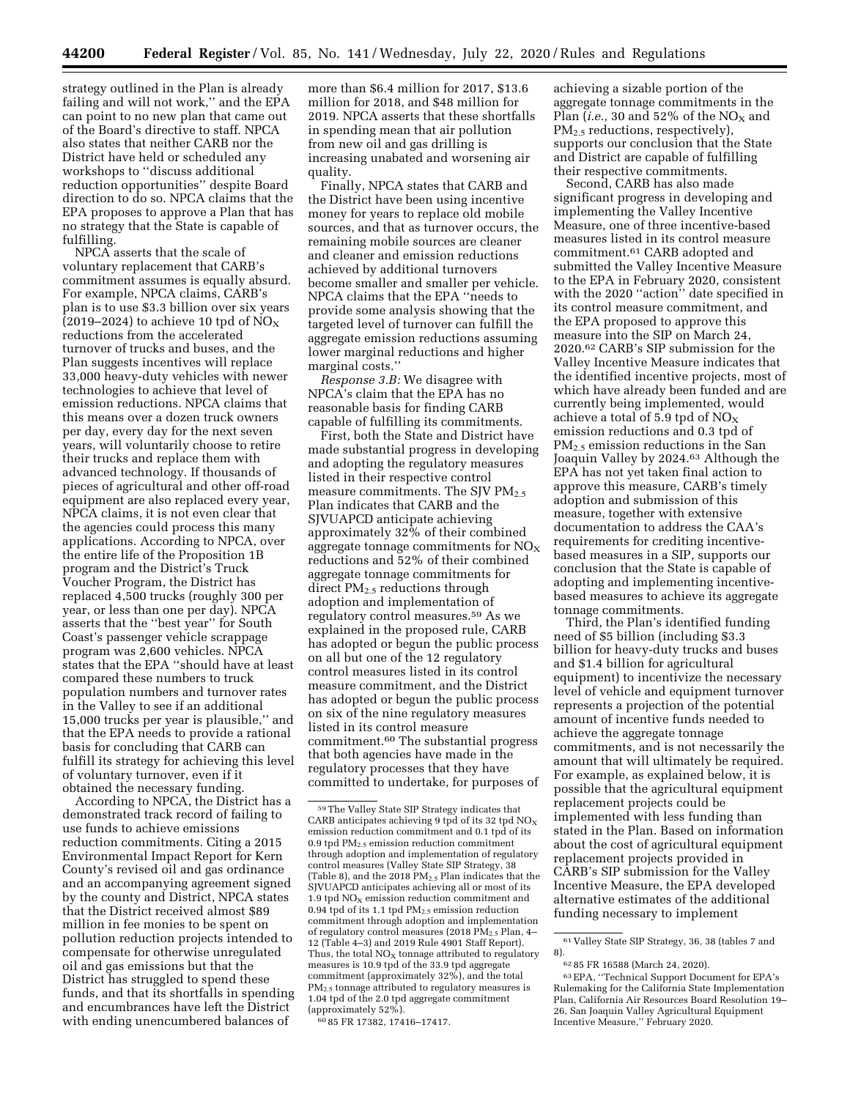strategy outlined in the Plan is already failing and will not work,'' and the EPA can point to no new plan that came out of the Board's directive to staff. NPCA also states that neither CARB nor the District have held or scheduled any workshops to ''discuss additional reduction opportunities'' despite Board direction to do so. NPCA claims that the EPA proposes to approve a Plan that has no strategy that the State is capable of fulfilling.

NPCA asserts that the scale of voluntary replacement that CARB's commitment assumes is equally absurd. For example, NPCA claims, CARB's plan is to use \$3.3 billion over six years (2019–2024) to achieve 10 tpd of  $NO<sub>X</sub>$ reductions from the accelerated turnover of trucks and buses, and the Plan suggests incentives will replace 33,000 heavy-duty vehicles with newer technologies to achieve that level of emission reductions. NPCA claims that this means over a dozen truck owners per day, every day for the next seven years, will voluntarily choose to retire their trucks and replace them with advanced technology. If thousands of pieces of agricultural and other off-road equipment are also replaced every year, NPCA claims, it is not even clear that the agencies could process this many applications. According to NPCA, over the entire life of the Proposition 1B program and the District's Truck Voucher Program, the District has replaced 4,500 trucks (roughly 300 per year, or less than one per day). NPCA asserts that the ''best year'' for South Coast's passenger vehicle scrappage program was 2,600 vehicles. NPCA states that the EPA ''should have at least compared these numbers to truck population numbers and turnover rates in the Valley to see if an additional 15,000 trucks per year is plausible,'' and that the EPA needs to provide a rational basis for concluding that CARB can fulfill its strategy for achieving this level of voluntary turnover, even if it obtained the necessary funding.

According to NPCA, the District has a demonstrated track record of failing to use funds to achieve emissions reduction commitments. Citing a 2015 Environmental Impact Report for Kern County's revised oil and gas ordinance and an accompanying agreement signed by the county and District, NPCA states that the District received almost \$89 million in fee monies to be spent on pollution reduction projects intended to compensate for otherwise unregulated oil and gas emissions but that the District has struggled to spend these funds, and that its shortfalls in spending and encumbrances have left the District with ending unencumbered balances of

more than \$6.4 million for 2017, \$13.6 million for 2018, and \$48 million for 2019. NPCA asserts that these shortfalls in spending mean that air pollution from new oil and gas drilling is increasing unabated and worsening air quality.

Finally, NPCA states that CARB and the District have been using incentive money for years to replace old mobile sources, and that as turnover occurs, the remaining mobile sources are cleaner and cleaner and emission reductions achieved by additional turnovers become smaller and smaller per vehicle. NPCA claims that the EPA ''needs to provide some analysis showing that the targeted level of turnover can fulfill the aggregate emission reductions assuming lower marginal reductions and higher marginal costs.''

*Response 3.B:* We disagree with NPCA's claim that the EPA has no reasonable basis for finding CARB capable of fulfilling its commitments.

First, both the State and District have made substantial progress in developing and adopting the regulatory measures listed in their respective control measure commitments. The SIV  $PM_2$  5 Plan indicates that CARB and the SJVUAPCD anticipate achieving approximately 32% of their combined aggregate tonnage commitments for  $NO<sub>x</sub>$ reductions and 52% of their combined aggregate tonnage commitments for direct PM2.5 reductions through adoption and implementation of regulatory control measures.59 As we explained in the proposed rule, CARB has adopted or begun the public process on all but one of the 12 regulatory control measures listed in its control measure commitment, and the District has adopted or begun the public process on six of the nine regulatory measures listed in its control measure commitment.60 The substantial progress that both agencies have made in the regulatory processes that they have committed to undertake, for purposes of

60 85 FR 17382, 17416–17417.

achieving a sizable portion of the aggregate tonnage commitments in the Plan (*i.e.*, 30 and 52% of the  $NO<sub>X</sub>$  and PM<sub>2.5</sub> reductions, respectively), supports our conclusion that the State and District are capable of fulfilling their respective commitments.

Second, CARB has also made significant progress in developing and implementing the Valley Incentive Measure, one of three incentive-based measures listed in its control measure commitment.61 CARB adopted and submitted the Valley Incentive Measure to the EPA in February 2020, consistent with the 2020 ''action'' date specified in its control measure commitment, and the EPA proposed to approve this measure into the SIP on March 24, 2020.62 CARB's SIP submission for the Valley Incentive Measure indicates that the identified incentive projects, most of which have already been funded and are currently being implemented, would achieve a total of 5.9 tpd of  $NO_X$ emission reductions and 0.3 tpd of PM2.5 emission reductions in the San Joaquin Valley by 2024.63 Although the EPA has not yet taken final action to approve this measure, CARB's timely adoption and submission of this measure, together with extensive documentation to address the CAA's requirements for crediting incentivebased measures in a SIP, supports our conclusion that the State is capable of adopting and implementing incentivebased measures to achieve its aggregate tonnage commitments.

Third, the Plan's identified funding need of \$5 billion (including \$3.3 billion for heavy-duty trucks and buses and \$1.4 billion for agricultural equipment) to incentivize the necessary level of vehicle and equipment turnover represents a projection of the potential amount of incentive funds needed to achieve the aggregate tonnage commitments, and is not necessarily the amount that will ultimately be required. For example, as explained below, it is possible that the agricultural equipment replacement projects could be implemented with less funding than stated in the Plan. Based on information about the cost of agricultural equipment replacement projects provided in CARB's SIP submission for the Valley Incentive Measure, the EPA developed alternative estimates of the additional funding necessary to implement

<sup>59</sup>The Valley State SIP Strategy indicates that CARB anticipates achieving 9 tpd of its 32 tpd  $NO<sub>x</sub>$ emission reduction commitment and 0.1 tpd of its 0.9 tpd  $PM<sub>2.5</sub>$  emission reduction commitment through adoption and implementation of regulatory control measures (Valley State SIP Strategy, 38 (Table 8), and the 2018  $\text{PM}_2$ , Plan indicates that the SJVUAPCD anticipates achieving all or most of its 1.9 tpd  $NO<sub>x</sub>$  emission reduction commitment and 0.94 tpd of its 1.1 tpd  $PM_{2.5}$  emission reduction commitment through adoption and implementation of regulatory control measures (2018 PM2.5 Plan, 4– 12 (Table 4–3) and 2019 Rule 4901 Staff Report). Thus, the total  $NO<sub>x</sub>$  tonnage attributed to regulatory measures is 10.9 tpd of the 33.9 tpd aggregate commitment (approximately 32%), and the total PM2.5 tonnage attributed to regulatory measures is 1.04 tpd of the 2.0 tpd aggregate commitment (approximately 52%).

<sup>61</sup> Valley State SIP Strategy, 36, 38 (tables 7 and 8).

<sup>62</sup> 85 FR 16588 (March 24, 2020).

<sup>63</sup>EPA, ''Technical Support Document for EPA's Rulemaking for the California State Implementation Plan, California Air Resources Board Resolution 19– 26, San Joaquin Valley Agricultural Equipment Incentive Measure,'' February 2020.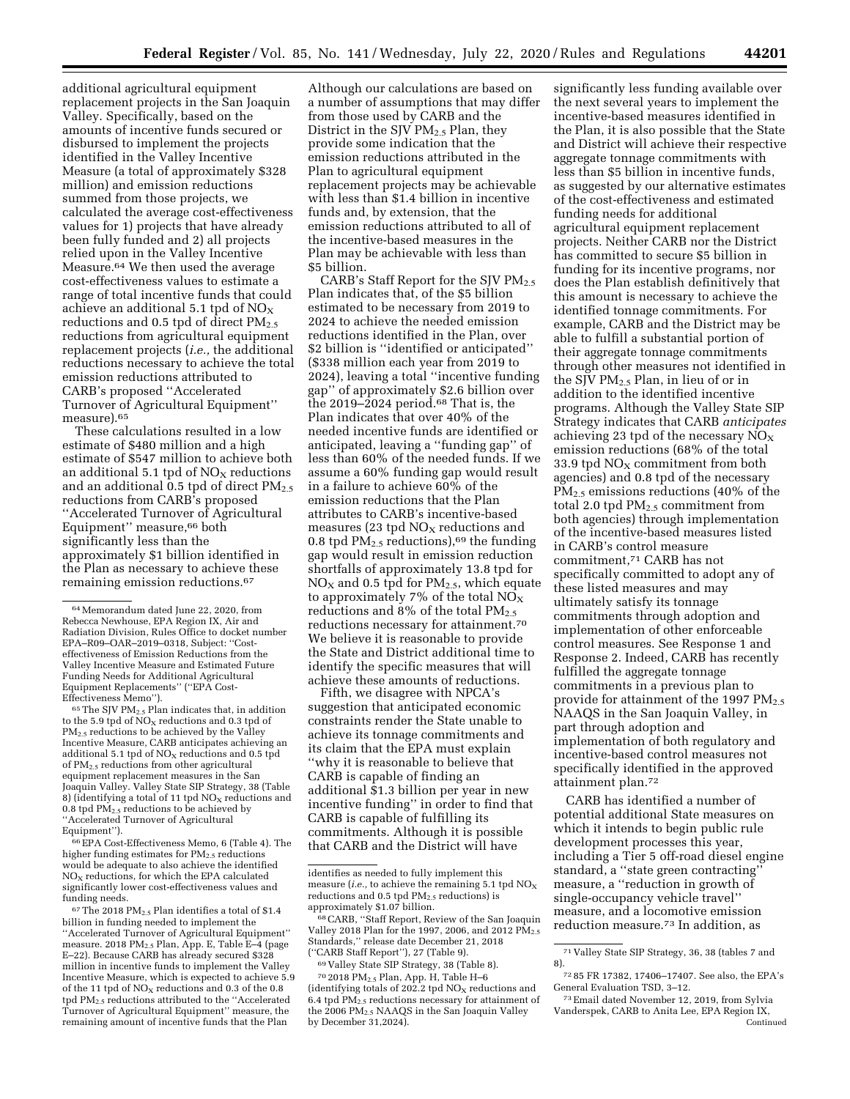additional agricultural equipment replacement projects in the San Joaquin Valley. Specifically, based on the amounts of incentive funds secured or disbursed to implement the projects identified in the Valley Incentive Measure (a total of approximately \$328 million) and emission reductions summed from those projects, we calculated the average cost-effectiveness values for 1) projects that have already been fully funded and 2) all projects relied upon in the Valley Incentive Measure.64 We then used the average cost-effectiveness values to estimate a range of total incentive funds that could achieve an additional 5.1 tpd of  $NO_X$ reductions and  $0.5$  tpd of direct  $PM_{2.5}$ reductions from agricultural equipment replacement projects (*i.e.,* the additional reductions necessary to achieve the total emission reductions attributed to CARB's proposed ''Accelerated Turnover of Agricultural Equipment'' measure).65

These calculations resulted in a low estimate of \$480 million and a high estimate of \$547 million to achieve both an additional 5.1 tpd of  $NO<sub>x</sub>$  reductions and an additional  $0.5$  tpd of direct  $PM_{2.5}$ reductions from CARB's proposed ''Accelerated Turnover of Agricultural Equipment'' measure,66 both significantly less than the approximately \$1 billion identified in the Plan as necessary to achieve these remaining emission reductions.67

 $^{65}\rm{The}$  SJV  $\rm{PM}_{2.5}$  Plan indicates that, in addition to the 5.9 tpd of  $NO<sub>x</sub>$  reductions and 0.3 tpd of PM2.5 reductions to be achieved by the Valley Incentive Measure, CARB anticipates achieving an additional 5.1 tpd of  $NO<sub>x</sub>$  reductions and 0.5 tpd of PM2.5 reductions from other agricultural equipment replacement measures in the San Joaquin Valley. Valley State SIP Strategy, 38 (Table 8) (identifying a total of 11 tpd  $NO<sub>x</sub>$  reductions and 0.8 tpd  $\widetilde{PM}_{2.5}$  reductions to be achieved by ''Accelerated Turnover of Agricultural Equipment'').

66EPA Cost-Effectiveness Memo, 6 (Table 4). The higher funding estimates for PM<sub>2.5</sub> reductions would be adequate to also achieve the identified  $NO<sub>x</sub>$  reductions, for which the EPA calculated significantly lower cost-effectiveness values and funding needs.

 $67$  The 2018 PM<sub>2.5</sub> Plan identifies a total of \$1.4  $\,$ billion in funding needed to implement the ''Accelerated Turnover of Agricultural Equipment'' measure. 2018 PM2.5 Plan, App. E, Table E–4 (page E–22). Because CARB has already secured \$328 million in incentive funds to implement the Valley Incentive Measure, which is expected to achieve 5.9 of the 11 tpd of  $NO<sub>x</sub>$  reductions and 0.3 of the 0.8 tpd PM2.5 reductions attributed to the ''Accelerated Turnover of Agricultural Equipment'' measure, the remaining amount of incentive funds that the Plan

Although our calculations are based on a number of assumptions that may differ from those used by CARB and the District in the SJV  $PM_{2.5}$  Plan, they provide some indication that the emission reductions attributed in the Plan to agricultural equipment replacement projects may be achievable with less than \$1.4 billion in incentive funds and, by extension, that the emission reductions attributed to all of the incentive-based measures in the Plan may be achievable with less than \$5 billion.

CARB's Staff Report for the SJV  $PM_{2.5}$ Plan indicates that, of the \$5 billion estimated to be necessary from 2019 to 2024 to achieve the needed emission reductions identified in the Plan, over \$2 billion is "identified or anticipated" (\$338 million each year from 2019 to 2024), leaving a total ''incentive funding gap'' of approximately \$2.6 billion over the 2019–2024 period.68 That is, the Plan indicates that over 40% of the needed incentive funds are identified or anticipated, leaving a ''funding gap'' of less than 60% of the needed funds. If we assume a 60% funding gap would result in a failure to achieve 60% of the emission reductions that the Plan attributes to CARB's incentive-based measures (23 tpd  $NO<sub>x</sub>$  reductions and 0.8 tpd  $PM_{2.5}$  reductions),<sup>69</sup> the funding gap would result in emission reduction shortfalls of approximately 13.8 tpd for  $NO<sub>X</sub>$  and 0.5 tpd for  $PM<sub>2.5</sub>$ , which equate to approximately 7% of the total  $NO_X$ reductions and 8% of the total  $PM_{2.5}$ reductions necessary for attainment.70 We believe it is reasonable to provide the State and District additional time to identify the specific measures that will achieve these amounts of reductions.

Fifth, we disagree with NPCA's suggestion that anticipated economic constraints render the State unable to achieve its tonnage commitments and its claim that the EPA must explain ''why it is reasonable to believe that CARB is capable of finding an additional \$1.3 billion per year in new incentive funding'' in order to find that CARB is capable of fulfilling its commitments. Although it is possible that CARB and the District will have

69 Valley State SIP Strategy, 38 (Table 8).

significantly less funding available over the next several years to implement the incentive-based measures identified in the Plan, it is also possible that the State and District will achieve their respective aggregate tonnage commitments with less than \$5 billion in incentive funds, as suggested by our alternative estimates of the cost-effectiveness and estimated funding needs for additional agricultural equipment replacement projects. Neither CARB nor the District has committed to secure \$5 billion in funding for its incentive programs, nor does the Plan establish definitively that this amount is necessary to achieve the identified tonnage commitments. For example, CARB and the District may be able to fulfill a substantial portion of their aggregate tonnage commitments through other measures not identified in the SJV PM2.5 Plan, in lieu of or in addition to the identified incentive programs. Although the Valley State SIP Strategy indicates that CARB *anticipates*  achieving 23 tpd of the necessary  $NO<sub>x</sub>$ emission reductions (68% of the total 33.9 tpd  $NO<sub>X</sub>$  commitment from both agencies) and 0.8 tpd of the necessary PM2.5 emissions reductions (40% of the total 2.0 tpd PM2.5 commitment from both agencies) through implementation of the incentive-based measures listed in CARB's control measure commitment,71 CARB has not specifically committed to adopt any of these listed measures and may ultimately satisfy its tonnage commitments through adoption and implementation of other enforceable control measures. See Response 1 and Response 2. Indeed, CARB has recently fulfilled the aggregate tonnage commitments in a previous plan to provide for attainment of the 1997  $PM_{2.5}$ NAAQS in the San Joaquin Valley, in part through adoption and implementation of both regulatory and incentive-based control measures not specifically identified in the approved attainment plan.72

CARB has identified a number of potential additional State measures on which it intends to begin public rule development processes this year, including a Tier 5 off-road diesel engine standard, a ''state green contracting'' measure, a "reduction in growth of single-occupancy vehicle travel'' measure, and a locomotive emission reduction measure.73 In addition, as

<sup>64</sup>Memorandum dated June 22, 2020, from Rebecca Newhouse, EPA Region IX, Air and Radiation Division, Rules Office to docket number EPA–R09–OAR–2019–0318, Subject: ''Costeffectiveness of Emission Reductions from the Valley Incentive Measure and Estimated Future Funding Needs for Additional Agricultural Equipment Replacements'' (''EPA Cost-Effectiveness Memo'').

identifies as needed to fully implement this measure (*i.e.*, to achieve the remaining 5.1 tpd  $\mathrm{NO}_\mathrm{X}$ reductions and  $0.5$  tpd  $PM<sub>2.5</sub>$  reductions) is approximately \$1.07 billion.

<sup>68</sup>CARB, ''Staff Report, Review of the San Joaquin Valley 2018 Plan for the 1997, 2006, and 2012  $\tilde{\text{PM}}_{2.5}$ Standards,'' release date December 21, 2018 (''CARB Staff Report''), 27 (Table 9).

<sup>70</sup> 2018 PM2.5 Plan, App. H, Table H–6 (identifying totals of 202.2 tpd  $NO<sub>x</sub>$  reductions and 6.4 tpd  $\overline{PM_{2.5}}$  reductions necessary for attainment of the 2006 PM2.5 NAAQS in the San Joaquin Valley by December 31,2024).

<sup>71</sup> Valley State SIP Strategy, 36, 38 (tables 7 and 8).

<sup>72</sup> 85 FR 17382, 17406–17407. See also, the EPA's General Evaluation TSD, 3–12.

<sup>73</sup>Email dated November 12, 2019, from Sylvia Vanderspek, CARB to Anita Lee, EPA Region IX, Continued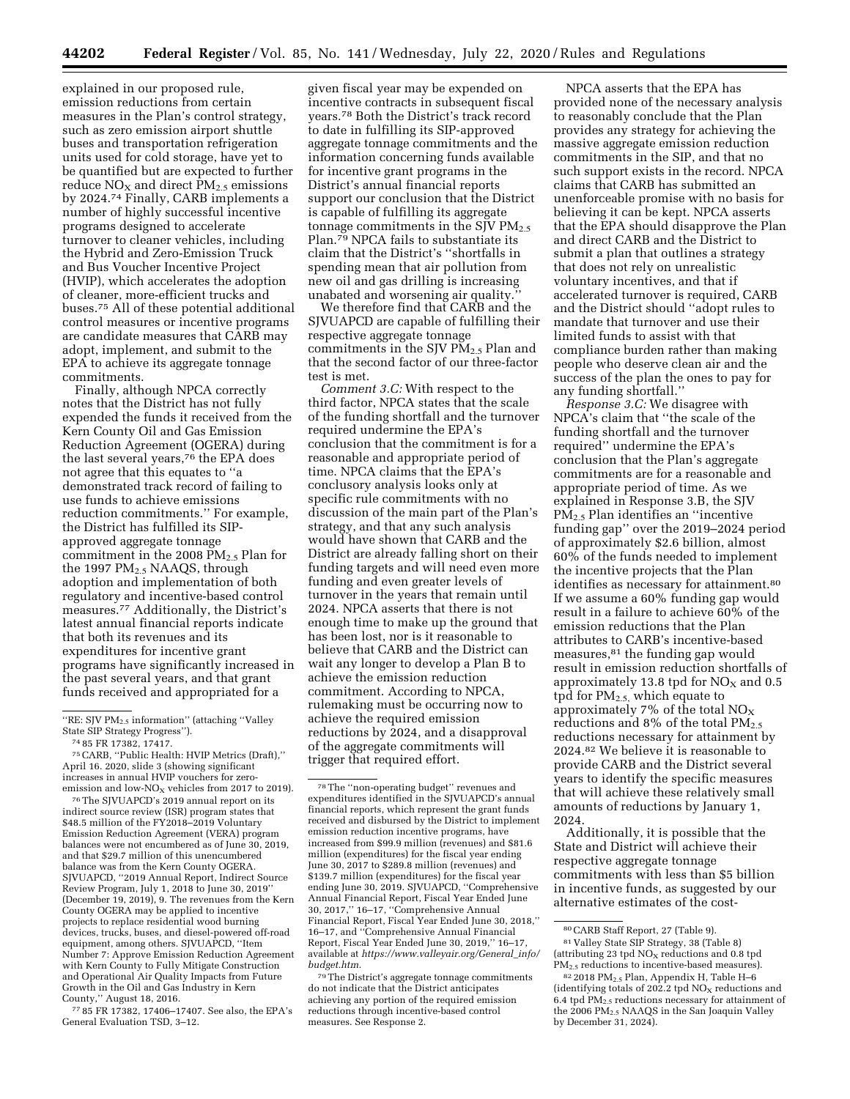explained in our proposed rule, emission reductions from certain measures in the Plan's control strategy, such as zero emission airport shuttle buses and transportation refrigeration units used for cold storage, have yet to be quantified but are expected to further reduce  $NO<sub>X</sub>$  and direct  $PM<sub>2.5</sub>$  emissions by 2024.74 Finally, CARB implements a number of highly successful incentive programs designed to accelerate turnover to cleaner vehicles, including the Hybrid and Zero-Emission Truck and Bus Voucher Incentive Project (HVIP), which accelerates the adoption of cleaner, more-efficient trucks and buses.75 All of these potential additional control measures or incentive programs are candidate measures that CARB may adopt, implement, and submit to the EPA to achieve its aggregate tonnage commitments.

Finally, although NPCA correctly notes that the District has not fully expended the funds it received from the Kern County Oil and Gas Emission Reduction Agreement (OGERA) during the last several years,<sup>76</sup> the EPA does not agree that this equates to ''a demonstrated track record of failing to use funds to achieve emissions reduction commitments.'' For example, the District has fulfilled its SIPapproved aggregate tonnage commitment in the 2008  $PM<sub>2.5</sub>$  Plan for the 1997 PM<sub>2.5</sub> NAAQS, through adoption and implementation of both regulatory and incentive-based control measures.77 Additionally, the District's latest annual financial reports indicate that both its revenues and its expenditures for incentive grant programs have significantly increased in the past several years, and that grant funds received and appropriated for a

75CARB, ''Public Health: HVIP Metrics (Draft),'' April 16. 2020, slide 3 (showing significant increases in annual HVIP vouchers for zeroemission and low- $NO<sub>x</sub>$  vehicles from 2017 to 2019).

76The SJVUAPCD's 2019 annual report on its indirect source review (ISR) program states that \$48.5 million of the FY2018–2019 Voluntary Emission Reduction Agreement (VERA) program balances were not encumbered as of June 30, 2019, and that \$29.7 million of this unencumbered balance was from the Kern County OGERA. SJVUAPCD, ''2019 Annual Report, Indirect Source Review Program, July 1, 2018 to June 30, 2019'' (December 19, 2019), 9. The revenues from the Kern County OGERA may be applied to incentive projects to replace residential wood burning devices, trucks, buses, and diesel-powered off-road equipment, among others. SJVUAPCD, ''Item Number 7: Approve Emission Reduction Agreement with Kern County to Fully Mitigate Construction and Operational Air Quality Impacts from Future Growth in the Oil and Gas Industry in Kern County,'' August 18, 2016.

77 85 FR 17382, 17406–17407. See also, the EPA's General Evaluation TSD, 3–12.

given fiscal year may be expended on incentive contracts in subsequent fiscal years.78 Both the District's track record to date in fulfilling its SIP-approved aggregate tonnage commitments and the information concerning funds available for incentive grant programs in the District's annual financial reports support our conclusion that the District is capable of fulfilling its aggregate tonnage commitments in the SJV  $PM_{2.5}$ Plan.<sup>79</sup> NPCA fails to substantiate its claim that the District's ''shortfalls in spending mean that air pollution from new oil and gas drilling is increasing unabated and worsening air quality.''

We therefore find that CARB and the SJVUAPCD are capable of fulfilling their respective aggregate tonnage commitments in the SJV  $PM_{2.5}$  Plan and that the second factor of our three-factor test is met.

*Comment 3.C:* With respect to the third factor, NPCA states that the scale of the funding shortfall and the turnover required undermine the EPA's conclusion that the commitment is for a reasonable and appropriate period of time. NPCA claims that the EPA's conclusory analysis looks only at specific rule commitments with no discussion of the main part of the Plan's strategy, and that any such analysis would have shown that CARB and the District are already falling short on their funding targets and will need even more funding and even greater levels of turnover in the years that remain until 2024. NPCA asserts that there is not enough time to make up the ground that has been lost, nor is it reasonable to believe that CARB and the District can wait any longer to develop a Plan B to achieve the emission reduction commitment. According to NPCA, rulemaking must be occurring now to achieve the required emission reductions by 2024, and a disapproval of the aggregate commitments will trigger that required effort.

78The ''non-operating budget'' revenues and expenditures identified in the SJVUAPCD's annual financial reports, which represent the grant funds received and disbursed by the District to implement emission reduction incentive programs, have increased from \$99.9 million (revenues) and \$81.6 million (expenditures) for the fiscal year ending June 30, 2017 to \$289.8 million (revenues) and \$139.7 million (expenditures) for the fiscal year ending June 30, 2019. SJVUAPCD, ''Comprehensive Annual Financial Report, Fiscal Year Ended June 30, 2017,'' 16–17, ''Comprehensive Annual Financial Report, Fiscal Year Ended June 30, 2018,'' 16–17, and ''Comprehensive Annual Financial Report, Fiscal Year Ended June 30, 2019,'' 16–17, available at *[https://www.valleyair.org/General](https://www.valleyair.org/General_info/budget.htm)*\_*info/ [budget.htm.](https://www.valleyair.org/General_info/budget.htm)* 

79The District's aggregate tonnage commitments do not indicate that the District anticipates achieving any portion of the required emission reductions through incentive-based control measures. See Response 2.

NPCA asserts that the EPA has provided none of the necessary analysis to reasonably conclude that the Plan provides any strategy for achieving the massive aggregate emission reduction commitments in the SIP, and that no such support exists in the record. NPCA claims that CARB has submitted an unenforceable promise with no basis for believing it can be kept. NPCA asserts that the EPA should disapprove the Plan and direct CARB and the District to submit a plan that outlines a strategy that does not rely on unrealistic voluntary incentives, and that if accelerated turnover is required, CARB and the District should ''adopt rules to mandate that turnover and use their limited funds to assist with that compliance burden rather than making people who deserve clean air and the success of the plan the ones to pay for any funding shortfall.''

*Response 3.C:* We disagree with NPCA's claim that ''the scale of the funding shortfall and the turnover required'' undermine the EPA's conclusion that the Plan's aggregate commitments are for a reasonable and appropriate period of time. As we explained in Response 3.B, the SJV PM2.5 Plan identifies an ''incentive funding gap'' over the 2019–2024 period of approximately \$2.6 billion, almost 60% of the funds needed to implement the incentive projects that the Plan identifies as necessary for attainment.<sup>80</sup> If we assume a 60% funding gap would result in a failure to achieve 60% of the emission reductions that the Plan attributes to CARB's incentive-based measures,81 the funding gap would result in emission reduction shortfalls of approximately 13.8 tpd for  $NO<sub>x</sub>$  and 0.5 tpd for  $PM_{2.5}$ , which equate to approximately 7% of the total  $NO<sub>x</sub>$ reductions and 8% of the total  $PM_{2.5}$ reductions necessary for attainment by 2024.82 We believe it is reasonable to provide CARB and the District several years to identify the specific measures that will achieve these relatively small amounts of reductions by January 1, 2024.

Additionally, it is possible that the State and District will achieve their respective aggregate tonnage commitments with less than \$5 billion in incentive funds, as suggested by our alternative estimates of the cost-

<sup>&</sup>quot;RE: SJV PM<sub>2.5</sub> information" (attaching "Valley State SIP Strategy Progress'').

<sup>74</sup> 85 FR 17382, 17417.

<sup>80</sup>CARB Staff Report, 27 (Table 9). 81 Valley State SIP Strategy, 38 (Table 8) (attributing 23 tpd  $\rm{NO_{X}}$  reductions and 0.8 tpd

PM2.5 reductions to incentive-based measures). <sup>82</sup> 2018 PM2.5 Plan, Appendix H, Table H–6 (identifying totals of 202.2 tpd  $NO<sub>x</sub>$  reductions and 6.4 tpd  $\overline{PM_{2.5}}$  reductions necessary for attainment of the 2006 PM2.5 NAAQS in the San Joaquin Valley by December 31, 2024).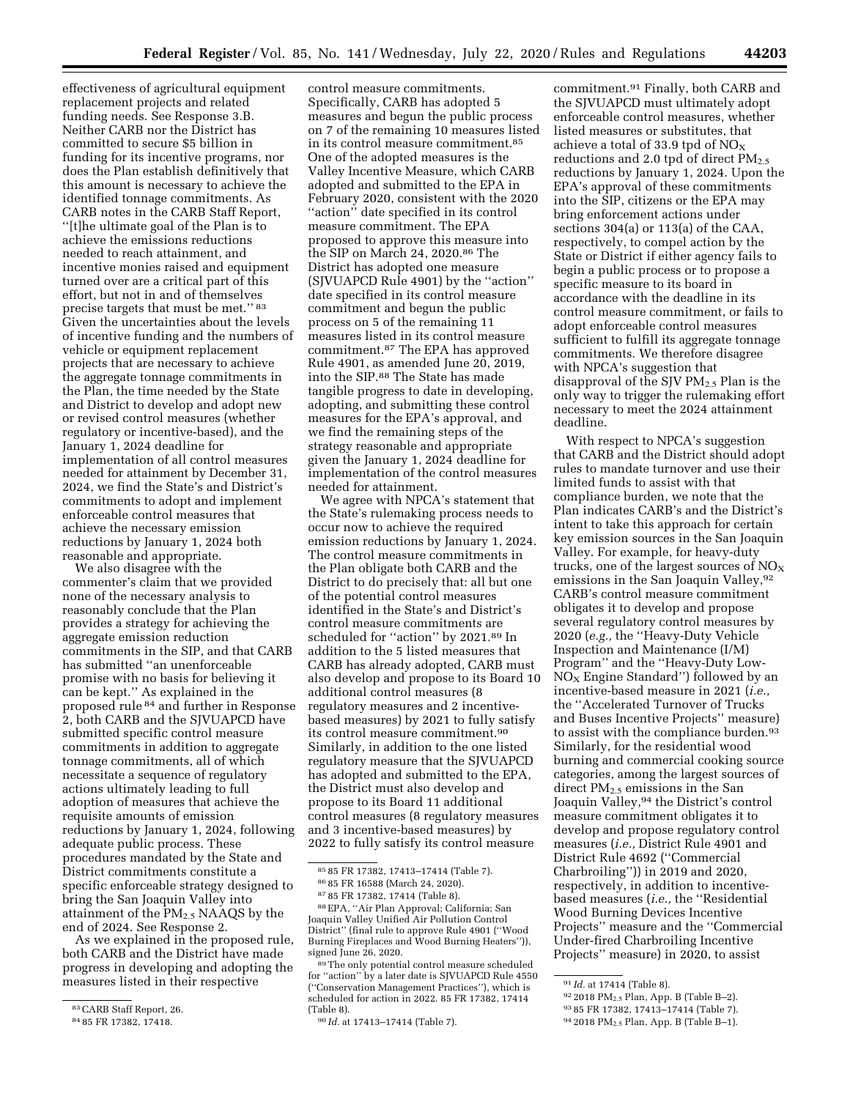effectiveness of agricultural equipment replacement projects and related funding needs. See Response 3.B. Neither CARB nor the District has committed to secure \$5 billion in funding for its incentive programs, nor does the Plan establish definitively that this amount is necessary to achieve the identified tonnage commitments. As CARB notes in the CARB Staff Report, ''[t]he ultimate goal of the Plan is to achieve the emissions reductions needed to reach attainment, and incentive monies raised and equipment turned over are a critical part of this effort, but not in and of themselves precise targets that must be met.'' 83 Given the uncertainties about the levels of incentive funding and the numbers of vehicle or equipment replacement projects that are necessary to achieve the aggregate tonnage commitments in the Plan, the time needed by the State and District to develop and adopt new or revised control measures (whether regulatory or incentive-based), and the January 1, 2024 deadline for implementation of all control measures needed for attainment by December 31, 2024, we find the State's and District's commitments to adopt and implement enforceable control measures that achieve the necessary emission reductions by January 1, 2024 both reasonable and appropriate.

We also disagree with the commenter's claim that we provided none of the necessary analysis to reasonably conclude that the Plan provides a strategy for achieving the aggregate emission reduction commitments in the SIP, and that CARB has submitted ''an unenforceable promise with no basis for believing it can be kept.'' As explained in the proposed rule 84 and further in Response 2, both CARB and the SJVUAPCD have submitted specific control measure commitments in addition to aggregate tonnage commitments, all of which necessitate a sequence of regulatory actions ultimately leading to full adoption of measures that achieve the requisite amounts of emission reductions by January 1, 2024, following adequate public process. These procedures mandated by the State and District commitments constitute a specific enforceable strategy designed to bring the San Joaquin Valley into attainment of the PM<sub>2.5</sub> NAAQS by the end of 2024. See Response 2.

As we explained in the proposed rule, both CARB and the District have made progress in developing and adopting the measures listed in their respective

control measure commitments. Specifically, CARB has adopted 5 measures and begun the public process on 7 of the remaining 10 measures listed in its control measure commitment.85 One of the adopted measures is the Valley Incentive Measure, which CARB adopted and submitted to the EPA in February 2020, consistent with the 2020 ''action'' date specified in its control measure commitment. The EPA proposed to approve this measure into the SIP on March 24, 2020.86 The District has adopted one measure (SJVUAPCD Rule 4901) by the ''action'' date specified in its control measure commitment and begun the public process on 5 of the remaining 11 measures listed in its control measure commitment.87 The EPA has approved Rule 4901, as amended June 20, 2019, into the SIP.88 The State has made tangible progress to date in developing, adopting, and submitting these control measures for the EPA's approval, and we find the remaining steps of the strategy reasonable and appropriate given the January 1, 2024 deadline for implementation of the control measures needed for attainment.

We agree with NPCA's statement that the State's rulemaking process needs to occur now to achieve the required emission reductions by January 1, 2024. The control measure commitments in the Plan obligate both CARB and the District to do precisely that: all but one of the potential control measures identified in the State's and District's control measure commitments are scheduled for ''action'' by 2021.89 In addition to the 5 listed measures that CARB has already adopted, CARB must also develop and propose to its Board 10 additional control measures (8 regulatory measures and 2 incentivebased measures) by 2021 to fully satisfy its control measure commitment.90 Similarly, in addition to the one listed regulatory measure that the SJVUAPCD has adopted and submitted to the EPA, the District must also develop and propose to its Board 11 additional control measures (8 regulatory measures and 3 incentive-based measures) by 2022 to fully satisfy its control measure

commitment.91 Finally, both CARB and the SJVUAPCD must ultimately adopt enforceable control measures, whether listed measures or substitutes, that achieve a total of 33.9 tpd of  $NO_X$ reductions and 2.0 tpd of direct  $PM_{2.5}$ reductions by January 1, 2024. Upon the EPA's approval of these commitments into the SIP, citizens or the EPA may bring enforcement actions under sections 304(a) or 113(a) of the CAA, respectively, to compel action by the State or District if either agency fails to begin a public process or to propose a specific measure to its board in accordance with the deadline in its control measure commitment, or fails to adopt enforceable control measures sufficient to fulfill its aggregate tonnage commitments. We therefore disagree with NPCA's suggestion that disapproval of the SJV  $PM_{2.5}$  Plan is the only way to trigger the rulemaking effort necessary to meet the 2024 attainment deadline.

With respect to NPCA's suggestion that CARB and the District should adopt rules to mandate turnover and use their limited funds to assist with that compliance burden, we note that the Plan indicates CARB's and the District's intent to take this approach for certain key emission sources in the San Joaquin Valley. For example, for heavy-duty trucks, one of the largest sources of  $NO<sub>x</sub>$ emissions in the San Joaquin Valley, 92 CARB's control measure commitment obligates it to develop and propose several regulatory control measures by 2020 (*e.g.,* the ''Heavy-Duty Vehicle Inspection and Maintenance (I/M) Program'' and the ''Heavy-Duty Low- $NO<sub>x</sub>$  Engine Standard'') followed by an incentive-based measure in 2021 (*i.e.,*  the ''Accelerated Turnover of Trucks and Buses Incentive Projects'' measure) to assist with the compliance burden.<sup>93</sup> Similarly, for the residential wood burning and commercial cooking source categories, among the largest sources of direct PM2.5 emissions in the San Joaquin Valley,94 the District's control measure commitment obligates it to develop and propose regulatory control measures (*i.e.,* District Rule 4901 and District Rule 4692 (''Commercial Charbroiling'')) in 2019 and 2020, respectively, in addition to incentivebased measures (*i.e.,* the ''Residential Wood Burning Devices Incentive Projects'' measure and the ''Commercial Under-fired Charbroiling Incentive Projects'' measure) in 2020, to assist

<sup>83</sup>CARB Staff Report, 26.

<sup>84</sup> 85 FR 17382, 17418.

<sup>85</sup> 85 FR 17382, 17413–17414 (Table 7). 86 85 FR 16588 (March 24, 2020).

<sup>87</sup> 85 FR 17382, 17414 (Table 8).

<sup>88</sup>EPA, ''Air Plan Approval; California; San Joaquin Valley Unified Air Pollution Control

District'' (final rule to approve Rule 4901 (''Wood Burning Fireplaces and Wood Burning Heaters'')), signed June 26, 2020.

<sup>89</sup>The only potential control measure scheduled for ''action'' by a later date is SJVUAPCD Rule 4550 (''Conservation Management Practices''), which is scheduled for action in 2022. 85 FR 17382, 17414 (Table 8).

<sup>90</sup> *Id.* at 17413–17414 (Table 7).

<sup>91</sup> *Id.* at 17414 (Table 8).

<sup>92 2018</sup> PM<sub>2.5</sub> Plan, App. B (Table B-2).

<sup>93</sup> 85 FR 17382, 17413–17414 (Table 7).

<sup>94</sup> 2018 PM2.5 Plan, App. B (Table B–1).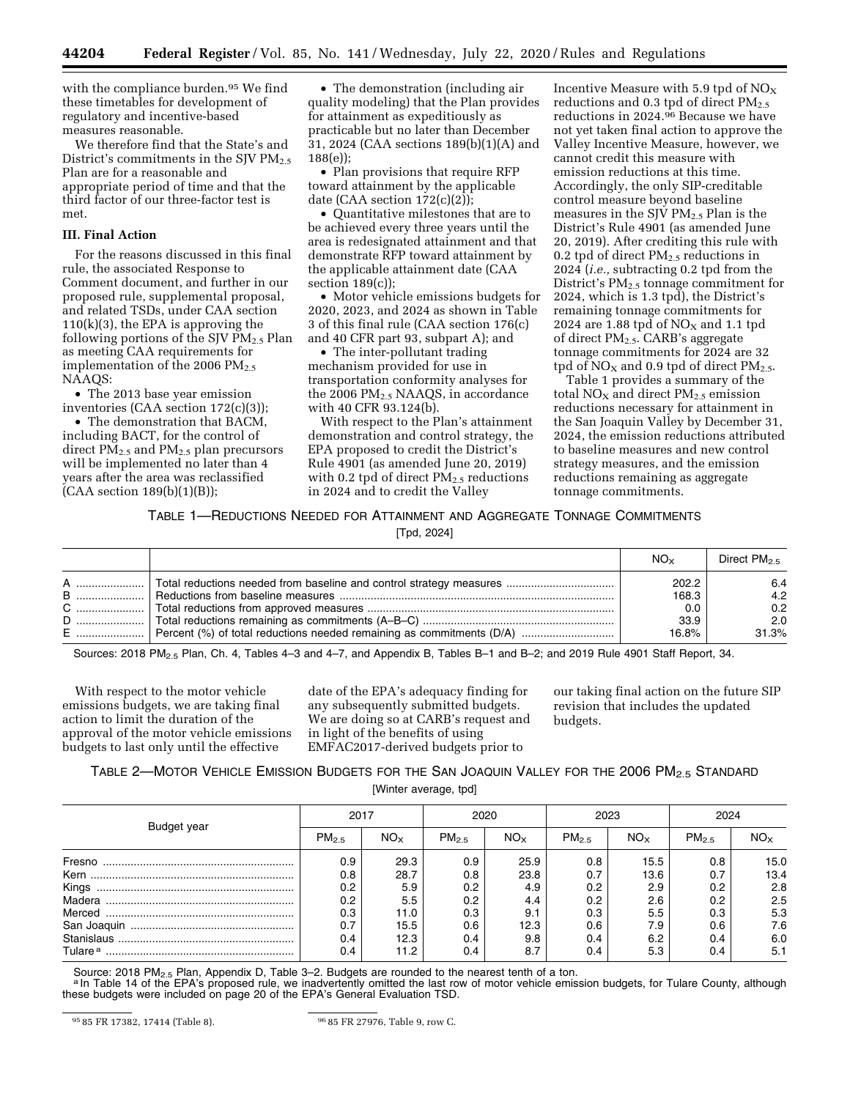with the compliance burden.<sup>95</sup> We find these timetables for development of regulatory and incentive-based measures reasonable.

We therefore find that the State's and District's commitments in the SJV  $PM<sub>2.5</sub>$ Plan are for a reasonable and appropriate period of time and that the third factor of our three-factor test is met.

### **III. Final Action**

For the reasons discussed in this final rule, the associated Response to Comment document, and further in our proposed rule, supplemental proposal, and related TSDs, under CAA section  $110(k)(3)$ , the EPA is approving the following portions of the SJV  $\widetilde{PM}_{2.5}$  Plan as meeting CAA requirements for implementation of the 2006  $PM_{2.5}$ NAAQS:

• The 2013 base year emission inventories (CAA section 172(c)(3));

• The demonstration that BACM, including BACT, for the control of direct  $PM<sub>2.5</sub>$  and  $PM<sub>2.5</sub>$  plan precursors will be implemented no later than 4 years after the area was reclassified  $(CAA section 189(b)(1)(B));$ 

• The demonstration (including air quality modeling) that the Plan provides for attainment as expeditiously as practicable but no later than December 31, 2024 (CAA sections 189(b)(1)(A) and 188(e));

• Plan provisions that require RFP toward attainment by the applicable date (CAA section 172(c)(2));

• Quantitative milestones that are to be achieved every three years until the area is redesignated attainment and that demonstrate RFP toward attainment by the applicable attainment date (CAA section  $189(c)$ ;

• Motor vehicle emissions budgets for 2020, 2023, and 2024 as shown in Table 3 of this final rule (CAA section 176(c) and 40 CFR part 93, subpart A); and

• The inter-pollutant trading mechanism provided for use in transportation conformity analyses for the 2006 PM<sub>2.5</sub> NAAQS, in accordance with 40 CFR 93.124(b).

With respect to the Plan's attainment demonstration and control strategy, the EPA proposed to credit the District's Rule 4901 (as amended June 20, 2019) with 0.2 tpd of direct  $PM_{2.5}$  reductions in 2024 and to credit the Valley

Incentive Measure with 5.9 tpd of  $NO<sub>x</sub>$ reductions and 0.3 tpd of direct  $PM<sub>2.5</sub>$ reductions in 2024.96 Because we have not yet taken final action to approve the Valley Incentive Measure, however, we cannot credit this measure with emission reductions at this time. Accordingly, the only SIP-creditable control measure beyond baseline measures in the SJV  $PM_{2.5}$  Plan is the District's Rule 4901 (as amended June 20, 2019). After crediting this rule with 0.2 tpd of direct  $PM_{2.5}$  reductions in 2024 (*i.e.,* subtracting 0.2 tpd from the District's  $PM<sub>2.5</sub>$  tonnage commitment for 2024, which is 1.3 tpd), the District's remaining tonnage commitments for 2024 are 1.88 tpd of  $NO<sub>x</sub>$  and 1.1 tpd of direct PM2.5. CARB's aggregate tonnage commitments for 2024 are 32 tpd of  $NO<sub>X</sub>$  and 0.9 tpd of direct  $PM<sub>2.5</sub>$ .

Table 1 provides a summary of the total  $NO<sub>X</sub>$  and direct  $PM<sub>2.5</sub>$  emission reductions necessary for attainment in the San Joaquin Valley by December 31, 2024, the emission reductions attributed to baseline measures and new control strategy measures, and the emission reductions remaining as aggregate tonnage commitments.

# TABLE 1—REDUCTIONS NEEDED FOR ATTAINMENT AND AGGREGATE TONNAGE COMMITMENTS

[Tpd, 2024]

|   | $NO_{x}$ | Direct $PM_{2.5}$ |
|---|----------|-------------------|
| A | 202.2    | 6.4               |
|   | 168.3    | 4.2               |
|   | 0.0      | 0.2               |
|   | 33.9     | 2.0               |
|   | 16.8%    | 31.3%             |

Sources: 2018 PM<sub>2.5</sub> Plan, Ch. 4, Tables 4–3 and 4–7, and Appendix B, Tables B–1 and B–2; and 2019 Rule 4901 Staff Report, 34.

With respect to the motor vehicle emissions budgets, we are taking final action to limit the duration of the approval of the motor vehicle emissions budgets to last only until the effective

date of the EPA's adequacy finding for any subsequently submitted budgets. We are doing so at CARB's request and in light of the benefits of using EMFAC2017-derived budgets prior to

our taking final action on the future SIP revision that includes the updated budgets.

# TABLE 2—MOTOR VEHICLE EMISSION BUDGETS FOR THE SAN JOAQUIN VALLEY FOR THE 2006 PM2.5 STANDARD

[Winter average, tpd]

|                     | 2017              |                 | 2020       |              | 2023              |              | 2024       |                 |
|---------------------|-------------------|-----------------|------------|--------------|-------------------|--------------|------------|-----------------|
| Budget year         | PM <sub>2.5</sub> | NO <sub>x</sub> | $PM_{2.5}$ | $NO_{\rm X}$ | PM <sub>2.5</sub> | $NO_{\rm X}$ | $PM_{2.5}$ | NO <sub>x</sub> |
| Fresno              | 0.9               | 29.3            | 0.9        | 25.9         | 0.8               | 15.5         | 0.8        | 15.0            |
| Kern                | 0.8               | 28.7            | 0.8        | 23.8         | 0.7               | 13.6         | 0.7        | 13.4            |
| Kings               | $0.2\,$           | 5.9             | 0.2        | 4.9          | 0.2               | 2.9          | 0.2        | 2.8             |
| Madera              | 0.2 <sub>1</sub>  | 5.5             | 0.2        | 4.4          | 0.2               | 2.6          | 0.2        | 2.5             |
|                     | 0.3               | 11.0            | 0.3        | 9.1          | 0.3               | 5.5          | 0.3        | 5.3             |
|                     | 0.7               | 15.5            | 0.6        | 12.3         | 0.6               | 7.9          | 0.6        | 7.6             |
|                     | 0.4               | 12.3            | 0.4        | 9.8          | 0.4               | 6.2          | 0.4        | 6.0             |
| Tulare <sup>a</sup> | 0.4               | 11.2            | 0.4        | 8.7          | 0.4               | 5.3          | 0.4        | 5.1             |

Source: 2018 PM<sub>2.5</sub> Plan, Appendix D, Table 3–2. Budgets are rounded to the nearest tenth of a ton.<br>ª In Table 14 of the EPA's proposed rule, we inadvertently omitted the last row of motor vehicle emission budgets, for Tu these budgets were included on page 20 of the EPA's General Evaluation TSD.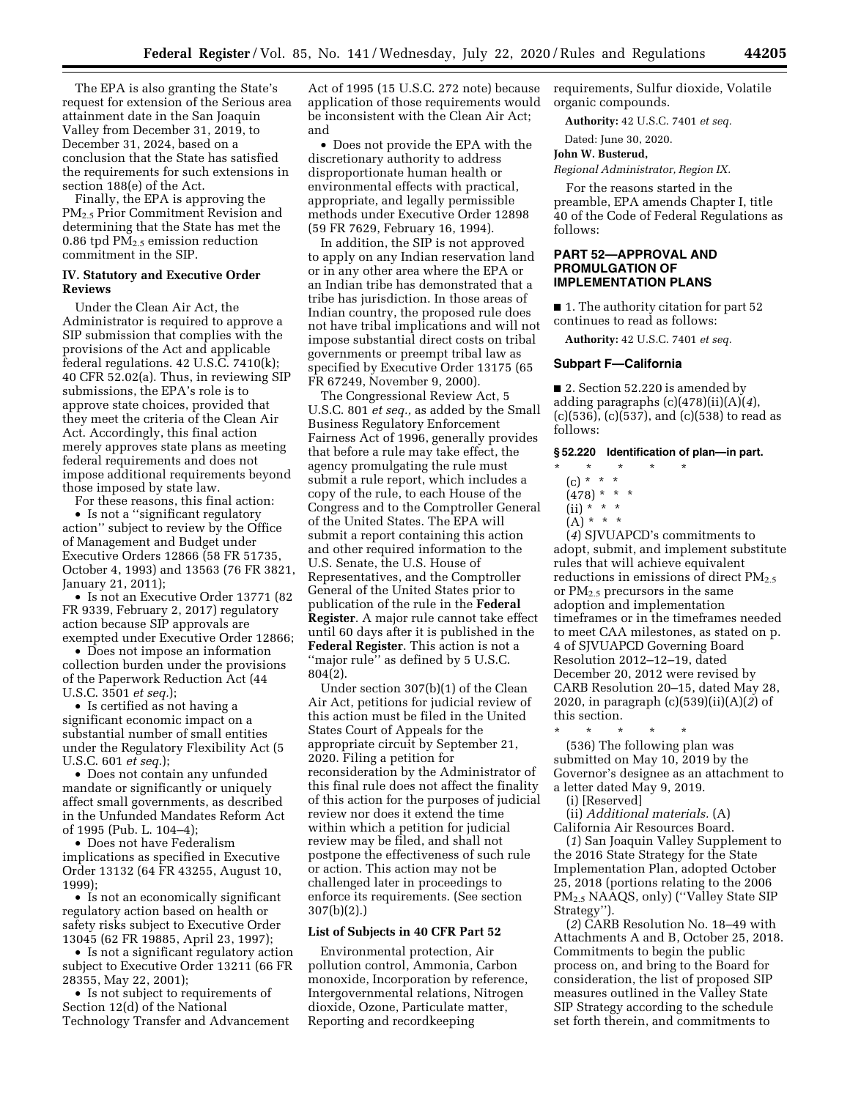The EPA is also granting the State's request for extension of the Serious area attainment date in the San Joaquin Valley from December 31, 2019, to December 31, 2024, based on a conclusion that the State has satisfied the requirements for such extensions in section 188(e) of the Act.

Finally, the EPA is approving the PM<sub>2.5</sub> Prior Commitment Revision and determining that the State has met the 0.86 tpd  $PM_{2.5}$  emission reduction commitment in the SIP.

### **IV. Statutory and Executive Order Reviews**

Under the Clean Air Act, the Administrator is required to approve a SIP submission that complies with the provisions of the Act and applicable federal regulations. 42 U.S.C. 7410(k); 40 CFR 52.02(a). Thus, in reviewing SIP submissions, the EPA's role is to approve state choices, provided that they meet the criteria of the Clean Air Act. Accordingly, this final action merely approves state plans as meeting federal requirements and does not impose additional requirements beyond those imposed by state law.

For these reasons, this final action:

• Is not a "significant regulatory action'' subject to review by the Office of Management and Budget under Executive Orders 12866 (58 FR 51735, October 4, 1993) and 13563 (76 FR 3821, January 21, 2011);

• Is not an Executive Order 13771 (82 FR 9339, February 2, 2017) regulatory action because SIP approvals are exempted under Executive Order 12866;

• Does not impose an information collection burden under the provisions of the Paperwork Reduction Act (44 U.S.C. 3501 *et seq.*);

• Is certified as not having a significant economic impact on a substantial number of small entities under the Regulatory Flexibility Act (5 U.S.C. 601 *et seq.*);

• Does not contain any unfunded mandate or significantly or uniquely affect small governments, as described in the Unfunded Mandates Reform Act of 1995 (Pub. L. 104–4);

• Does not have Federalism implications as specified in Executive Order 13132 (64 FR 43255, August 10, 1999);

• Is not an economically significant regulatory action based on health or safety risks subject to Executive Order 13045 (62 FR 19885, April 23, 1997);

• Is not a significant regulatory action subject to Executive Order 13211 (66 FR 28355, May 22, 2001);

• Is not subject to requirements of Section 12(d) of the National Technology Transfer and Advancement

Act of 1995 (15 U.S.C. 272 note) because application of those requirements would be inconsistent with the Clean Air Act; and

• Does not provide the EPA with the discretionary authority to address disproportionate human health or environmental effects with practical, appropriate, and legally permissible methods under Executive Order 12898 (59 FR 7629, February 16, 1994).

In addition, the SIP is not approved to apply on any Indian reservation land or in any other area where the EPA or an Indian tribe has demonstrated that a tribe has jurisdiction. In those areas of Indian country, the proposed rule does not have tribal implications and will not impose substantial direct costs on tribal governments or preempt tribal law as specified by Executive Order 13175 (65 FR 67249, November 9, 2000).

The Congressional Review Act, 5 U.S.C. 801 *et seq.,* as added by the Small Business Regulatory Enforcement Fairness Act of 1996, generally provides that before a rule may take effect, the agency promulgating the rule must submit a rule report, which includes a copy of the rule, to each House of the Congress and to the Comptroller General of the United States. The EPA will submit a report containing this action and other required information to the U.S. Senate, the U.S. House of Representatives, and the Comptroller General of the United States prior to publication of the rule in the **Federal Register**. A major rule cannot take effect until 60 days after it is published in the **Federal Register**. This action is not a ''major rule'' as defined by 5 U.S.C. 804(2).

Under section 307(b)(1) of the Clean Air Act, petitions for judicial review of this action must be filed in the United States Court of Appeals for the appropriate circuit by September 21, 2020. Filing a petition for reconsideration by the Administrator of this final rule does not affect the finality of this action for the purposes of judicial review nor does it extend the time within which a petition for judicial review may be filed, and shall not postpone the effectiveness of such rule or action. This action may not be challenged later in proceedings to enforce its requirements. (See section 307(b)(2).)

### **List of Subjects in 40 CFR Part 52**

Environmental protection, Air pollution control, Ammonia, Carbon monoxide, Incorporation by reference, Intergovernmental relations, Nitrogen dioxide, Ozone, Particulate matter, Reporting and recordkeeping

requirements, Sulfur dioxide, Volatile organic compounds.

**Authority:** 42 U.S.C. 7401 *et seq.* 

Dated: June 30, 2020.

#### **John W. Busterud,**

*Regional Administrator, Region IX.* 

For the reasons started in the preamble, EPA amends Chapter I, title 40 of the Code of Federal Regulations as follows:

### **PART 52—APPROVAL AND PROMULGATION OF IMPLEMENTATION PLANS**

■ 1. The authority citation for part 52 continues to read as follows:

**Authority:** 42 U.S.C. 7401 *et seq.* 

### **Subpart F—California**

■ 2. Section 52.220 is amended by adding paragraphs (c)(478)(ii)(A)(*4*), (c)(536), (c)(537), and (c)(538) to read as follows:

# **§ 52.220 Identification of plan—in part.**

- \* \* \* \* \*
	- (c) \* \* \*  $(478)$  \* \* \*
	- (ii) \* \* \*
	- $(A) * * * *$
- (*4*) SJVUAPCD's commitments to adopt, submit, and implement substitute rules that will achieve equivalent reductions in emissions of direct  $PM_{2.5}$ or PM2.5 precursors in the same adoption and implementation timeframes or in the timeframes needed to meet CAA milestones, as stated on p. 4 of SJVUAPCD Governing Board Resolution 2012–12–19, dated December 20, 2012 were revised by CARB Resolution 20–15, dated May 28, 2020, in paragraph (c)(539)(ii)(A)(*2*) of
- this section. \* \* \* \* \*

(536) The following plan was submitted on May 10, 2019 by the Governor's designee as an attachment to a letter dated May 9, 2019.

(i) [Reserved]

(ii) *Additional materials.* (A) California Air Resources Board.

(*1*) San Joaquin Valley Supplement to the 2016 State Strategy for the State Implementation Plan, adopted October 25, 2018 (portions relating to the 2006 PM2.5 NAAQS, only) (''Valley State SIP Strategy'').

(*2*) CARB Resolution No. 18–49 with Attachments A and B, October 25, 2018. Commitments to begin the public process on, and bring to the Board for consideration, the list of proposed SIP measures outlined in the Valley State SIP Strategy according to the schedule set forth therein, and commitments to